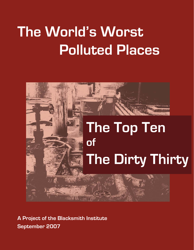# **The World's Worst Polluted Places**



**September 2007 A Project of the Blacksmith Institute**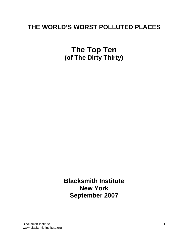# **THE WORLD'S WORST POLLUTED PLACES**

**The Top Ten (of The Dirty Thirty)** 

**Blacksmith Institute New York September 2007**

Blacksmith Institute www.blacksmithinstitute.org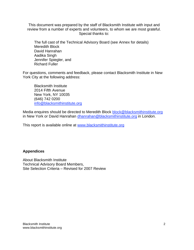This document was prepared by the staff of Blacksmith Institute with input and review from a number of experts and volunteers, to whom we are most grateful. Special thanks to:

 The full cast of the Technical Advisory Board (see Annex for details) Meredith Block David Hanrahan Aadika Singh Jennifer Spiegler, and Richard Fuller

For questions, comments and feedback, please contact Blacksmith Institute in New York City at the following address:

 Blacksmith Institute 2014 Fifth Avenue New York, NY 10035 (646) 742 0200 info@blacksmithinstitute.org

Media enquires should be directed to Meredith Block block@blacksmithinstitute.org in New York or David Hanrahan dhanrahan@blacksmithinstitute.org in London.

This report is available online at www.blacksmithinstitute.org

# **Appendices**

About Blacksmith Institute Technical Advisory Board Members, Site Selection Criteria – Revised for 2007 Review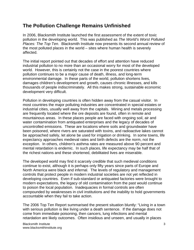# **The Pollution Challenge Remains Unfinished**

In 2006, Blacksmith Institute launched the first assessment of the extent of toxic pollution in the developing world. This was published as *The World's Worst Polluted Places: The Top Ten*. Blacksmith Institute now presents its second annual review of the most polluted places in the world – sites where human health is severely affected.

The initial report pointed out that decades of effort and attention have reduced industrial pollution to no more than an occasional worry for most of the developed world. However, this is certainly not the case in the poorest countries where pollution continues to be a major cause of death, illness, and long-term environmental damage. In these parts of the world, pollution shortens lives, damages children's development and growth, causes chronic illnesses, and kills thousands of people indiscriminately. All this makes strong, sustainable economic development very difficult.

Pollution in developing countries is often hidden away from the casual visitor. In most countries the major polluting industries are concentrated in special estates or industrial cities, usually well away from the capitals. Mining and metals processing are frequently located where the ore deposits are found, often in remote and mountainous areas. In these places people are faced with ongoing soil, air and water contamination from antiquated enterprises and the legacy of decades of uncontrolled emissions. These are locations where soils and groundwater have been poisoned, where rivers are saturated with toxins, and radioactive lakes cannot be approached safely, let alone be used for irrigation or drinking. In some towns, life expectancy approaches medieval rates and birth defects are the norm, not the exception. In others, children's asthma rates are measured above 90 percent and mental retardation is endemic. In such places, life expectancy may be half that of the richest nations and these shortened, debilitated lives are miserable.

The developed world may find it scarcely credible that such medieval conditions continue to exist, although it is perhaps only fifty years since parts of Europe and North America were black and infernal. The levels of regulatory and management controls that protect people in modern industrial societies are not yet reflected in developing countries. Even if sub-standard or antiquated factories were brought to modern expectations, the legacy of old contamination from the past would continue to poison the local population. Inadequacies in formal controls are often compounded by weaknesses in civil institutions and the inability to hold governments accountable when they fail to take action.

The 2006 Top Ten Report summarised the present situation bluntly: "Living in a town with serious pollution is like living under a death sentence. If the damage does not come from immediate poisoning, then cancers, lung infections and mental retardation are likely outcomes. Often insidious and unseen, and usually in places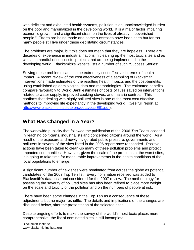with deficient and exhausted health systems, pollution is an unacknowledged burden on the poor and marginalized in the developing world. It is a major factor impairing economic growth, and a significant strain on the lives of already impoverished people." Efforts are being made and some successes have been seen but far too many people still live under these debilitating circumstances.

The problems are major, but this does not mean that they are hopeless. There are decades of experience in industrial nations in cleaning up the most toxic sites and as well as a handful of successful projects that are being implemented in the developing world. Blacksmith's website lists a number of such "Success Stories".

Solving these problems can also be extremely cost effective in terms of health impact. A recent review of the cost effectiveness of a sampling of Blacksmith interventions made estimates of the resulting health impacts and the cost-benefits, using established epidemiological data and methodologies. The estimated benefits compare favourably to World Bank estimates of costs of lives saved on interventions related to water supply, improved cooking stoves, and malaria controls. This confirms that dealing with highly polluted sites is one of the most cost effective methods to improving life expectancy in the developing world. (See full report at http://www.blacksmithinstitute.org/docs/costEff1.pdf).

# **What Has Changed in a Year?**

The worldwide publicity that followed the publication of the 2006 *Top Ten* succeeded in reaching politicians, industrialists and concerned citizens around the world. As a result of the exposure and newly invigorated public pressure, governments and polluters in several of the sites listed in the 2006 report have responded. Positive actions have been taken to clean-up many of these pollution problems and protect impacted communities. However, given the scale of the problems at the worst sites, it is going to take time for measurable improvements in the health conditions of the local populations to emerge.

A significant number of new sites were nominated from across the globe as potential candidates for the 2007 Top Ten list. Every nomination received was added to Blacksmith's database and considered for the 2007 review. The methodology for assessing the severity of polluted sites has also been refined to place more weight on the scale and toxicity of the pollution and on the numbers of people at risk.

There have been some changes in the Top Ten as a consequence of these adjustments but no major reshuffle. The details and implications of the changes are discussed below, after the presentation of the selected sites.

Despite ongoing efforts to make the survey of the world's most toxic places more comprehensive, the list of nominated sites is still incomplete.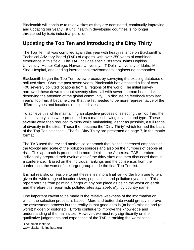Blacksmith will continue to review sites as they are nominated, continually improving and updating our yearly list until health in developing countries is no longer threatened by toxic industrial pollution.

# **Updating the Top Ten and Introducing the Dirty Thirty**

The Top Ten list was compiled again this year with heavy reliance on Blacksmith's Technical Advisory Board (TAB) of experts, with over 250 years of combined experience in this field. The TAB includes specialists from Johns Hopkins University, Hunter College, Harvard University, IIT Delhi, University of Idaho, Mt. Sinai Hospital, and leading international environmental engineering companies.

Blacksmith began the Top Ten review process by surveying the existing database of polluted sites. Over the past seven years, Blacksmith has amassed a list of over 400 severely polluted locations from all regions of the world. The initial survey narrowed these down to about seventy sites - all with severe human health risks, all deserving the attention of the global community. In discussing feedback from last year's Top Ten, it became clear that the list needed to be more representative of the different types and locations of polluted sites.

To achieve this while maintaining an objective process of selecting the Top Ten, the initial seventy sites were presented as a matrix showing location and type. These seventy were then reduced to thirty while maintaining, as far as possible, a full range of diversity in the sites. These then became the "Dirty Thirty" which formed the basis of the Top Ten selection. The full Dirty Thirty are presented on page 7, in the matrix format.

The TAB used the revised methodical approach that places increased emphasis on the toxicity and scale of the pollution sources and also on the numbers of people at risk. This approach is presented in more detail in the Annexes. TAB members individually prepared their evaluations of the thirty sites and then discussed them in a conference. Based on the individual rankings and the consensus from the conference, the worst of the larger group made the final Top Ten list.

It is not realistic or feasible to put these sites into a final rank order from one to ten, given the wide range of location sizes, populations and pollution dynamics. This report refrains from pointing a finger at any one place as being the worst on earth and therefore this report lists polluted sites *alphabetically*, by country name.

One important caveat to be made is the relative weakness of the information on which the selection process is based. More and better data would greatly improve the assessment process but the reality is that good data is (at best) missing and (at worst) hidden or distorted. Efforts continue to improve the knowledge and understanding of the main sites. However, we must rely significantly on the qualitative judgements and experience of the TAB in ranking the worst sites.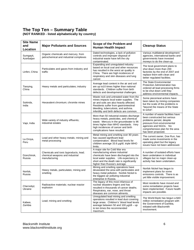# **The Top Ten – Summary Table**

**(NOT RANKED - listed alphabetically by country)** 

| <b>Site Name</b><br>and<br>Location | <b>Major Pollutants and Sources</b>                                                       | Scope of the Problem and<br><b>Human Health Impact</b>                                                                                                                                                                                                       | <b>Cleanup Status</b>                                                                                                                                                                                           |
|-------------------------------------|-------------------------------------------------------------------------------------------|--------------------------------------------------------------------------------------------------------------------------------------------------------------------------------------------------------------------------------------------------------------|-----------------------------------------------------------------------------------------------------------------------------------------------------------------------------------------------------------------|
| Sumgayit,<br>Azerbaijan             | Organic chemicals and mercury, from<br>petrochemical and industrial complexes             | Dated technologies, a lack of pollution<br>controls and improper disposal of<br>industrial waste have left the city<br>contaminated.                                                                                                                         | Various multilateral development<br>agencies, international banks and<br>governments have invested<br>moneys to do the clean-up.                                                                                |
| Linfen, China                       | Particulates and gases from industry and<br>traffic                                       | Expanding and unregulated industry<br>based on local coal and other resources<br>has resulted in the worst air quality in<br>China. There are high incidences of<br>respiratory and skin diseases and lung<br>cancer.                                        | The local government plans to<br>shut down more than 200<br>factories by the end of 2007 and<br>replace them with clean and<br>better regulated facilities.                                                     |
| Tianying,<br>China                  | Heavy metals and particulates; industry                                                   | Average lead content in the air and soil<br>are up to10 times higher than national<br>standards. Children suffer from birth<br>defects and developmental challenges.                                                                                         | The State Environmental<br><b>Protection Administration has</b><br>ordered all lead processing firms<br>to be shut down until they<br>address environmental impacts.                                            |
| Sukinda,<br>India                   | Hexavalent chromium; chromite mines                                                       | Waste rock and untreated water from the<br>mines impacts local water supplies. The<br>air and soils are also heavily affected.<br>Residents suffer from gastrointestinal<br>bleeding, tuberculosis, and asthma.<br>Infertility and birth defects are common. | Some piecemeal actions have<br>been taken by mining companies<br>but the scale of the problems is<br>"beyond the means of the State<br>to solve".                                                               |
| Vapi, India                         | Wide variety of industry effluents;<br>industrial estates                                 | More than 50 industrial estates discharge<br>heavy metals, pesticides, and chemical<br>waste. Mercury in the groundwater is 96<br>times higher than WHO standards. Very<br>high incidences of cancer and birth<br>complications have resulted.               | A number of waste facilities have<br>been constructed but serious<br>problems persist, despite<br>pressure from environmental<br>agencies and NGOs. No<br>comprehensive plan for the area<br>has been proposed. |
| La Oroya,<br>Peru                   | Lead and other heavy metals; mining and<br>metal processing                               | Metal mining and smelting over 80 years<br>has caused significant lead<br>contamination. Blood lead levels for<br>children average 33.6 µg/dl, triple WHO<br>limits.                                                                                         | The current owner, Doe Run, has<br>made some investments in the<br>operating plant but the legacy<br>issues have not been addressed.                                                                            |
| Dzerzhinsk,<br>Russia               | Chemicals and toxic byproducts, lead;<br>chemical weapons and industrial<br>manufacturing | A major site for Cold War era<br>manufacturing where industrial<br>chemicals have been discharged into the<br>local water supplies. Life expectancy is<br>short and the death rate is significantly<br>higher than Russia's average.                         | A number of isolated efforts have<br>been undertaken in individual<br>villages but no major clean-up<br>activity has been undertaken.                                                                           |
| Norilsk.<br>Russia                  | Heavy metals, particulates; mining and<br>smelting                                        | Mining and smelting operations have<br>devastated the area with particulates and<br>heavy metal pollution. Norilsk Nickel is<br>the biggest air polluting industrial<br>enterprise in Russia.                                                                | Norilsk Nickel has begun to<br>implement plans for some<br>emissions controls. There is as<br>yet little visible improvement.                                                                                   |
| Chernobyl,<br>Ukraine               | Radioactive materials; nuclear reactor<br>explosion                                       | The legacy of this most infamous of<br>nuclear disasters lingers and has<br>resulted in thousands of cancer deaths.<br>Respiratory, ear, nose, and throat<br>diseases are common ailments.                                                                   | Most residents have moved and<br>some remediation projects have<br>been implemented. Future health<br>impacts are possible.                                                                                     |
| Kabwe,<br>Zambia                    | Lead; mining and smelting                                                                 | Unregulated lead mining and smelting<br>operations resulted in lead dust covering<br>large areas. Children's' blood lead levels<br>average between 50 and 100 $\mu$ g/dl - up<br>to ten times the recommended<br>maximum.                                    | The World Bank has begun a \$40<br>million remediation program with<br>the Government of Gambia,<br>initiated with Blacksmith<br>involvement.                                                                   |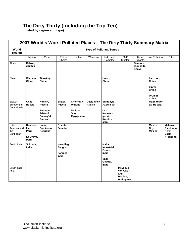# **The Dirty Thirty (including the Top Ten)**

 **(listed by region and type)** 

|                                          | 2007 World's Worst Polluted Places - The Dirty Thirty Summary Matrix |                                  |                                                   |                                         |                                    |                                                       |                                                               |                                      |                                         |                                                               |
|------------------------------------------|----------------------------------------------------------------------|----------------------------------|---------------------------------------------------|-----------------------------------------|------------------------------------|-------------------------------------------------------|---------------------------------------------------------------|--------------------------------------|-----------------------------------------|---------------------------------------------------------------|
| World<br>Region                          |                                                                      |                                  |                                                   |                                         |                                    | <b>Type of Pollutant/Source</b>                       |                                                               |                                      |                                         |                                                               |
|                                          | Mining                                                               | Metals                           | Petro-<br>Chems                                   | Nuclear                                 | Weapons                            | Industrial<br>Complex                                 | <b>SME</b><br>Cluster                                         | Urban<br>Waste                       | Air Pollution                           | Other                                                         |
| Africa                                   | Kabwe,<br>Zambia                                                     |                                  |                                                   |                                         |                                    |                                                       |                                                               | <b>Dandora</b><br>Dumpsite,<br>Kenya |                                         |                                                               |
| China                                    | Wanshan<br>China                                                     | Tianying,<br>China               |                                                   |                                         |                                    | Huaxi,<br>China                                       |                                                               |                                      | Lanzhou,<br>China<br>Linfen,<br>China   |                                                               |
|                                          |                                                                      |                                  |                                                   |                                         |                                    |                                                       |                                                               |                                      | Urumqi,<br>China                        |                                                               |
| Eastern<br>Europe and<br>Central Asia    | Chita.<br>Russia                                                     | Norilsk,<br>Russia<br>Rudnaya    | Bratsk,<br>Russia                                 | Chernobyl,<br><b>Ukraine</b><br>Mailuu- | <b>Dzerzhinsk</b><br><b>Russia</b> | Sumgayit,<br>Azerbaijan<br>Ust-                       |                                                               |                                      | <b>Magnitogor</b><br>sk, Russia         |                                                               |
|                                          |                                                                      | Pristan/<br>Dalneg'sk,<br>Russia |                                                   | Suu,<br>Kyrgyzstan                      |                                    | Kameno-<br>gorsk,<br>Kazakh-<br>stan                  |                                                               |                                      |                                         |                                                               |
| Latin<br>America and<br>the<br>Caribbean | Huancav'<br>Ica<br>Peru<br>La Oroya,<br>Peru                         | Haina,<br>Domincan<br>Republic   | Oriente,<br><b>Ecuador</b>                        |                                         |                                    |                                                       |                                                               |                                      | <b>Mexico</b><br>City,<br><b>Mexico</b> | Matanza-<br>Riachuelo.<br><b>River</b><br>Basin,<br>Argentina |
| South Asia                               | Sukinda,<br>India                                                    |                                  | Hazarib'g<br>Bangl'sh<br>Ranipet,<br><b>India</b> |                                         |                                    | <b>Mahad</b><br><b>Industrial</b><br>Estate,<br>India |                                                               |                                      |                                         |                                                               |
|                                          |                                                                      |                                  |                                                   |                                         |                                    | Vapi,<br>Gujarat,<br>India                            |                                                               |                                      |                                         |                                                               |
| South-east<br>Asia                       |                                                                      |                                  |                                                   |                                         |                                    |                                                       | Meycaua-<br>yan City<br>and<br>Marilao,<br><b>Philippines</b> |                                      |                                         |                                                               |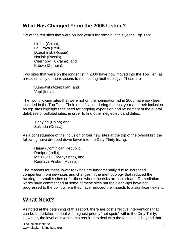# **What Has Changed From the 2006 Listing?**

Six of the ten sites that were on last year's list remain in this year's Top Ten:

 Linfen (China), La Oroya (Peru), Dzerzhinsk (Russia), Norilsk (Russia), Chernobyl (Ukraine), and Kabwe (Zambia).

Two sites that were on the longer list in 2006 have now moved into the Top Ten, as a result mainly of the revisions to the scoring methodology. These are

Sumgayit (Azerbaijan) and Vapi (India).

The two following sites that were not on the nomination list in 2006 have now been included in the Top Ten. Their identification during the past year and their inclusion as top sites highlights the need for ongoing expansion and refinement of the overall database of polluted sites, in order to find other neglected candidates.

Tianying (China) and Sukinda (Orissa).

As a consequence of the inclusion of four new sites at the top of the overall list, the following have dropped down lower into the Dirty Thirty listing.

Haina (Dominican Republic), Ranipet (India), Mailuu-Suu (Kyrgyzstan), and Rudnaya Pristan (Russia).

The reasons for these lower rankings are fundamentally due to increased competition from new sites and changes in the methodology that reduced the ranking for smaller sites or for those where the risks are less clear. Remediation works have commenced at some of these sites but the clean-ups have not progressed to the point where they have reduced the impacts to a significant extent.

# **What Next?**

As noted at the beginning of this report, there are cost effective interventions that can be undertaken to deal with highest priority "hot spots" within the Dirty Thirty. However, the level of investments required to deal with the top sites is beyond that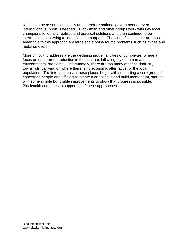which can be assembled locally and therefore national government or even international support is needed. Blacksmith and other groups work with key local champions to identify realistic and practical solutions and then continue to be intermediaries in trying to identify major support. The kind of issues that are most amenable to this approach are large scale point-source problems such as mines and metal smelters.

More difficult to address are the declining industrial cities or complexes, where a focus on unfettered production in the past has left a legacy of human and environmental problems. Unfortunately, there are too many of these "industry towns" still carrying on where there is no economic alternative for the local population. The interventions in these places begin with supporting a core group of concerned people and officials to create a consensus and build momentum, starting with some simple but visible improvements to show that progress is possible. Blacksmith continues to support all of these approaches.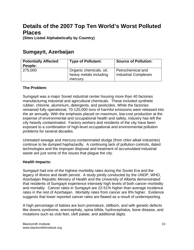# **Details of the 2007 Top Ten World's Worst Polluted Places**

**(Sites Listed Alphabetically by Country)** 

# **Sumgayit, Azerbaijan**

| <b>Potentially Affected</b><br>People: | <b>Type of Pollutant:</b>                                     | <b>Source of Pollution:</b>                      |
|----------------------------------------|---------------------------------------------------------------|--------------------------------------------------|
| 275,000                                | Organic chemicals, oil,<br>heavy metals including<br>mercury. | Petrochemical and<br><b>Industrial Complexes</b> |

# **The Problem:**

Sumgayit was a major Soviet industrial center housing more than 40 factories manufacturing industrial and agricultural chemicals. These included synthetic rubber, chlorine, aluminium, detergents, and pesticides. While the factories remained fully operational, 70-120,000 tons of harmful emissions were released into the air annually. With the emphasis placed on maximum, low-cost production at the expense of environmental and occupational health and safety, industry has left the city heavily contaminated. Factory workers and residents of the city have been exposed to a combination of high-level occupational and environmental pollution problems for several decades.

Untreated sewage and mercury-contaminated sludge (from chlor-alkali industries) continue to be dumped haphazardly. A continuing lack of pollution controls, dated technologies and the improper disposal and treatment of accumulated industrial waste are just some of the issues that plague the city.

# **Health Impacts:**

Sumgayit had one of the highest morbidity rates during the Soviet Era and the legacy of illness and death persist. A study jointly conducted by the UNDP, WHO, Azerbaijan Republic Ministry of Health and the University of Alberta demonstrated that residents of Sumgayit experience intensely high levels of both cancer morbidity and mortality. Cancer rates in Sumgayit are 22-51% higher than average incidence rates in the rest of Azerbaijan. Mortality rates from cancer are 8% higher. Evidence suggests that lower reported cancer rates are flawed as a result of underreporting.

A high percentage of babies are born premature, stillborn, and with genetic defects like downs syndrome, anencephaly, spina bifida, hydrocephalus, bone disease, and mutations such as club feet, cleft palate, and additional digits.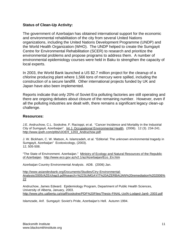### **Status of Clean-Up Activity:**

The government of Azerbaijan has obtained international support for the economic and environmental rehabilitation of the city from several United Nations organizations, including the United Nations Development Programme (UNDP) and the World Health Organization (WHO). The UNDP helped to create the Sumgayit Centre for Environmental Rehabilitation (SCER) to research and prioritize the environmental problems and propose programs to address them. A number of environmental epidemiology courses were held in Baku to strengthen the capacity of local experts.

In 2003, the World Bank launched a US \$2.7 million project for the cleanup of a chlorine producing plant where 1,566 tons of mercury were spilled, including the construction of a secure landfill. Other international projects funded by UK and Japan have also been implemented.

Reports indicate that only 20% of Soviet Era polluting factories are still operating and there are ongoing debates about closure of the remaining number. However, even if all the polluting industries are dealt with, there remains a significant legacy clean-up challenge.

#### **Resources:**

J.E. Andruchow, C.L. Soskolne, F. Racioppi, et al. "Cancer Incidence and Mortality in the Industrial City of Sumgayit, Azerbaijan". Int J. Occupational Environmental Health. (2006). 12 (3). 234-241. http://www.ijoeh.com/pfds/IJOEH\_1203\_Andruchow.pdf.

J. W. Bickham, C. W. Matson, A. Islamzadeh, et al. "Editorial: The unknown environmental tragedy in Sumgayit, Azerbaijan" Ecotoxicology, (2003). 12, 505-508.

"The State of Environment. Azerbaijan." Ministry of Ecology and Natural Resources of the Republic of Azerbaijan. http://www.eco.gov.az/v2.1/az/Azerbaijan/Eco\_En.htm

Azerbaijan Country Environmental Analysis. ADB. (2006) Jan.

http://www.asiandevbank.org/Documents/Studies/Ctry-Environmental-Analysis/2005/AZE/chap3.pdf#search=%22SUMGAYIT%20AZERBAIJAN%20remediation%202006% 22

Andruchow, James Edward. Epidemiology Program, Department of Public Health Sciences, University of Alberta, January, 2003. http://www.phs.ualberta.ca/staff/soskolne/PDF%20Files/Thesis-FINAL-UofA-Lodged-Jan6- 2003.pdf

Islamzade, Arif. Sumgayit: Soviet's Pride, Azerbaijan's Hell. Autumn 1994.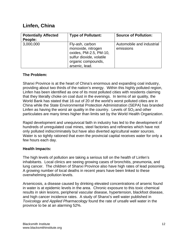# **Linfen, China**

| <b>Potentially Affected</b><br>People: | <b>Type of Pollutant:</b>                                                                                                           | <b>Source of Pollution:</b>            |
|----------------------------------------|-------------------------------------------------------------------------------------------------------------------------------------|----------------------------------------|
| 3,000,000                              | Fly-ash, carbon<br>monoxide, nitrogen<br>oxides, PM-2.5, PM-10,<br>sulfur dioxide, volatile<br>organic compounds,<br>arsenic, lead. | Automobile and industrial<br>emissions |

# **The Problem:**

Shanxi Province is at the heart of China's enormous and expanding coal industry, providing about two thirds of the nation's energy. Within this highly polluted region, Linfen has been identified as one of its most polluted cities with residents claiming that they literally choke on coal dust in the evenings. In terms of air quality, the World Bank has stated that 16 out of 20 of the world's worst polluted cities are in China while the State Environmental Protection Administration (SEPA) has branded Linfen as having the worst air quality in the country. Levels of  $SO<sub>2</sub>$  and other particulates are many times higher than limits set by the World Health Organization.

Rapid development and unequivocal faith in industry has led to the development of hundreds of unregulated coal mines, steel factories and refineries which have not only polluted indiscriminately but have also diverted agricultural water sources. Water is so tightly rationed that even the provincial capital receives water for only a few hours each day.

# **Health Impacts:**

The high levels of pollution are taking a serious toll on the health of Linfen's inhabitants. Local clinics are seeing growing cases of bronchitis, pneumonia, and lung cancer. The children of Shanxi Province also have high rates of lead poisoning. A growing number of local deaths in recent years have been linked to these overwhelming pollution levels.

Arsenicosis, a disease caused by drinking elevated concentrations of arsenic found in water is at epidemic levels in the area. Chronic exposure to this toxic chemical results in skin lesions, peripheral vascular disease, hypertension, blackfoot disease, and high cancer incidence rates. A study of Shanxi's well water published in *Toxicology and Applied Pharmacology* found the rate of unsafe well water in the province to be at an alarming 52%.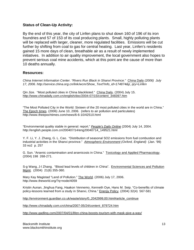### **Status of Clean-Up Activity:**

By the end of this year, the city of Linfen plans to shut down 160 of 196 of its iron foundries and 57 of 153 of its coal producing plants. Small, highly polluting plants will be replaced with larger, cleaner, more regulated facilities. Emissions will be cut further by shifting from coal to gas for central heating. Last year, Linfen's residents gained 15 more days of clean, breathable air as a result of newly implemented initiatives. In addition to air quality improvement, the local government also hopes to prevent serious coal mine accidents, which at this point are the cause of more than 10 deaths annually.

#### **Resources:**

*China Internet Information Center. "Rivers Run Black in Shanxi Province."* China Daily *(2006) July 17, 2006. http://service.china.org.cn/link/wcm/Show\_Text?info\_id=174874&p\_qry=Linfen* 

Qin Jize. "Most polluted cities in China blacklisted." China Daily. (2004) July 15. http://www.chinadaily.com.cn/english/doc/2004-07/15/content\_348397.htm

"The Most Polluted City in the World: Sixteen of the 20 most polluted cities in the world are in China." The Epoch times. (2006) June 10, 2006. (refers to air pollution and particulates) http://www.theepochtimes.com/news/6-6-10/42510.html

"Environmental quality stable in general: report." *People's Daily Online* (2004) July 14, 2004. http://english.people.com.cn/200407/14/eng20040714\_149521.html

Y. F. Li, Y. J. Zhang, G. L. Cao. "Distribution of seasonal SO2 emissions from fuel combustion and industrial activities in the Shanxi province." *Atmospheric Environment (Oxford, England)* (Jan. '99) 33 no2 p. 257

G. Sun. "Arsenic contamination and arsenicosis in China." Toxicology and Applied Pharmacology. (2004) 198 268-271.

S-g Wang, J-I Zhang. "Blood lead levels of children in China". Environmental Sciences and Pollution Mgmt. (2004) 21(6) 355-360.

Mary Kay Magistad "Land of Pollution." The World. (2006) July 17, 2006. http://www.theworld.org/?q=node/4059

Kristin Aunan, Jinghua Fang, Haakon Vennemo, Kenneth Oye, Hans M. Seip. "Co-benefits of climate policy-lessons learned from a study in Shanxi, China." Energy Policy. (2004) 32(4) 567-581

http://environment.guardian.co.uk/waste/story/0,,2042999,00.html#article\_continue

http://www.chinadaily.com.cn/china/2007-05/24/content\_879724.htm

http://www.gadling.com/2007/04/01/lifen-china-boosts-tourism-with-mask-give-a-way/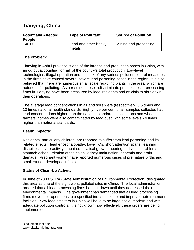# **Tianying, China**

| <b>Potentially Affected</b><br>People: | <b>Type of Pollutant:</b>      | <b>Source of Pollution:</b> |
|----------------------------------------|--------------------------------|-----------------------------|
| 140,000                                | Lead and other heavy<br>metals | Mining and processing       |

# **The Problem:**

Tianying in Anhui province is one of the largest lead production bases in China, with an output accounting for half of the country's total production. Low-level technologies, illegal operation and the lack of any serious pollution control measures in the firms have caused several severe lead poisoning cases in the region. It is also believed that there are numerous small scale recycling plants in the area, which are notorious for polluting. As a result of these indiscriminate practices, lead processing firms in Tianying have been pressured by local residents and officials to shut down their operations.

The average lead concentrations in air and soils were (respectively) 8.5 times and 10 times national health standards. Eighty-five per cent of air samples collected had lead concentrations higher than the national standards. Local crops and wheat at farmers' homes were also contaminated by lead dust, with some levels 24 times higher than national standards.

# **Health Impacts:**

Residents, particularly children, are reported to suffer from lead poisoning and its related effects: lead encephalopathy, lower IQs, short attention spans, learning disabilities, hyperactivity, impaired physical growth, hearing and visual problems, stomach aches, irritation of the colon, kidney malfunction, anaemia and brain damage. Pregnant women have reported numerous cases of premature births and smaller/underdeveloped infants.

# **Status of Clean-Up Activity**:

In June of 2000 SEPA (State Administration of Environmental Protection) designated this area as one of the eight worst polluted sites in China. The local administration ordered that all lead processing firms be shut down until they addressed their environmental impacts. The government has demanded that all lead processing firms move their operations to a specified industrial zone and improve their treatment facilities. New lead smelters in China will have to be large scale, modern and with adequate pollution controls. It is not known how effectively these orders are being implemented.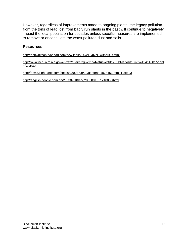However, regardless of improvements made to ongoing plants, the legacy pollution from the tons of lead lost from badly run plants in the past will continue to negatively impact the local population for decades unless specific measures are implemented to remove or encapsulate the worst polluted dust and soils.

### **Resources:**

http://bobwhitson.typepad.com/howlings/2004/10/river\_without\_f.html

http://www.ncbi.nlm.nih.gov/entrez/query.fcgi?cmd=Retrieve&db=PubMed&list\_uids=12411081&dopt =Abstract

http://news.xinhuanet.com/english/2003-09/10/content\_1074451.htm\_1-sep03

http://english.people.com.cn/200309/10/eng20030910\_124085.shtml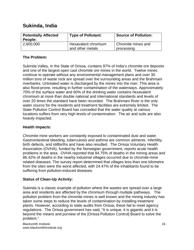# **Sukinda, India**

| <b>Potentially Affected</b><br>People: | <b>Type of Pollutant:</b>               | <b>Source of Pollution:</b>      |
|----------------------------------------|-----------------------------------------|----------------------------------|
| 2,600,000                              | Hexavalent chromium<br>and other metals | Chromite mines and<br>processing |

# **The Problem:**

Sukinda Valley, in the State of Orissa, contains 97% of India's chromite ore deposits and one of the largest open cast chromite ore mines in the world. Twelve mines continue to operate without any environmental management plans and over 30 million tons of waste rock are spread over the surrounding areas and the Brahmani riverbanks. Untreated water is discharged by the mines into the river. This area is also flood-prone, resulting in further contamination of the waterways. Approximately 70% of the surface water and 60% of the drinking water contains hexavalent chromium at more than double national and international standards and levels of over 20 times the standard have been recorded. The Brahmani River is the only water source for the residents and treatment facilities are extremely limited. The State Pollution Control Board has conceded that the water quality at various locations suffers from very high levels of contamination. The air and soils are also heavily impacted.

# **Health Impacts:**

Chromite mine workers are constantly exposed to contaminated dust and water. Gastrointestinal bleeding, tuberculosis and asthma are common ailments. Infertility, birth defects, and stillbirths and have also resulted. The Orissa Voluntary Health Association (OVHA), funded by the Norwegian government, reports acute health problems in the area. OVHA reported that 84.75% of deaths in the mining areas and 86.42% of deaths in the nearby industrial villages occurred due to chromite-mine related diseases. The survey report determined that villages less than one kilometre from the sites were the worst affected, with 24.47% of the inhabitants found to be suffering from pollution-induced diseases.

# **Status of Clean-Up Activity:**

Sukinda is a classic example of pollution where the wastes are spread over a large area and residents are affected by the chromium through multiple pathways. The pollution problem from the chromite mines is well known and the mining industry has taken some steps to reduce the levels of contamination by installing treatment plants. However, according to state audits from Orissa, these fail to meet agency regulations. The Orissa government has said*,* "It is unique, it is gigantic and it is beyond the means and purview of the [Orissa Pollution Control] Board to solve the problem."

Blacksmith Institute www.blacksmithinstitute.org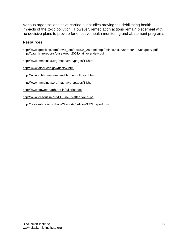Various organizations have carried out studies proving the debilitating health impacts of the toxic pollution. However, remediation actions remain piecemeal with no decisive plans to provide for effective health monitoring and abatement programs.

### **Resources:**

http://www.geocities.com/envis\_ism/news36\_28.html http://mines.nic.in/anrep04-05/chapter7.pdf http://cag.nic.in/reports/orissa/rep\_2001/civil\_overview.pdf

http://www.mmpindia.org/madhavan/pages/14.htm

http://www.atsdr.cdc.gov/tfacts7.html

http://www.rrlbhu.res.in/envis/Marine\_pollution.html

http://www.mmpindia.org/madhavan/pages/14.htm

http://www.downtoearth.org.in/fullprint.asp

http://www.cesorissa.org/PDF/newsletter\_vol\_5.pd

http://rajyasabha.nic.in/book2/reports/petition/127threport.htm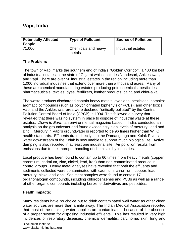# **Vapi, India**

| <b>Potentially Affected</b><br>People: | <b>Type of Pollutant:</b>     | <b>Source of Pollution:</b> |
|----------------------------------------|-------------------------------|-----------------------------|
| 71.000                                 | Chemicals and heavy<br>metals | Industrial estates          |

# **The Problem:**

The town of Vapi marks the southern end of India's "Golden Corridor", a 400 km belt of industrial estates in the state of Gujarat which includes Nandesari, Ankleshwar, and Vapi. There are over 50 industrial estates in the region including more than 1,000 individual industries that extend over more than a thousand acres. Many of these are chemical manufacturing estates producing petrochemicals, pesticides, pharmaceuticals, textiles, dyes, fertilizers, leather products, paint, and chlor-alkali.

The waste products discharged contain heavy metals, cyanides, pesticides, complex aromatic compounds (such as polychlorinated biphenyls or PCBs), and other toxics. Vapi and the Ankleshwar area were declared ''critically polluted'' by the Central Pollution Control Board of India (CPCB) in 1994. This followed a survey that revealed that there was no system in place to dispose of industrial waste at these estates. *Down to Earth*, an environmental magazine based in India, conducted an analysis on the groundwater and found exceedingly high levels of mercury, lead and zinc. Mercury in Vapi's groundwater is reported to be 96 times higher than WHO health standards. Effluents drain directly into the Damanganga and Kolak Rivers; water downstream of the Kolak is now unable to support much biological life. Active dumping is also reported in at least one industrial site. Air pollution results from emissions due to the improper handling of chemicals by industries.

Local produce has been found to contain up to 60 times more heavy metals (copper, chromium, cadmium, zinc, nickel, lead, iron) than non-contaminated produce in control groups. Heavy metal analyses have revealed that both the effluents and sediments collected were contaminated with cadmium, chromium, copper, lead, mercury, nickel and zinc. Sediment samples were found to contain 17 organohalogen compounds, including chlorobenzenes and PCBs as well as a range of other organic compounds including benzene derivatives and pesticides.

# **Health Impacts:**

Many residents have no choice but to drink contaminated well water as other clean water sources are more than a mile away. The Indian Medical Association reported that most of the drinking water supplies are contaminated, because of the absence of a proper system for disposing industrial effluents. This has resulted in very high incidences of respiratory diseases, chemical dermatitis, carcinoma, skin, lung and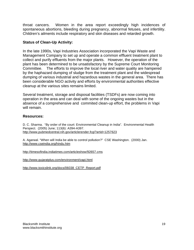throat cancers. Women in the area report exceedingly high incidences of spontaneous abortions, bleeding during pregnancy, abnormal fetuses, and infertility. Children's ailments include respiratory and skin diseases and retarded growth.

### **Status of Clean-Up Activity:**

In the late 1990s, Vapi Industries Association incorporated the Vapi Waste and Management Company to set up and operate a common effluent treatment plant to collect and purify effluents from the major plants. However, the operation of the plant has been determined to be unsatisfactory by the Supreme Court Monitoring Committee. The efforts to improve the local river and water quality are hampered by the haphazard dumping of sludge from the treatment plant and the widespread dumping of various industrial and hazardous wastes in the general area. There has been considerable NGO activity and efforts by environmental authorities effective cleanup at the various sites remains limited.

Several treatment, storage and disposal facilities (TSDFs) are now coming into operation in the area and can deal with some of the ongoing wastes but in the absence of a comprehensive and commited clean-up effort, the problems in Vapi will remain.

### **Resources:**

D. C. Sharma. "By order of the court: Environmental Cleanup in India". Environmental Health Perspect. (2005) June; 113(6): A394-A397. http://www.pubmedcentral.nih.gov/articlerender.fcgi?artid=1257623

A. Agarwal. "When will India be able to control pollution?" CSE Washington. (2000) Jan. http://www.cseindia.org/hindu.htm

http://timesofindia.indiatimes.com/articleshow/92657.cms

http://www.gujaratplus.com/environment/vapi.html

http://www.toxicslink.org/docs/06038\_CETP\_Report.pdf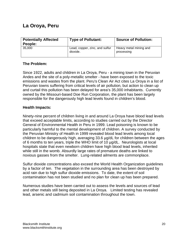# **La Oroya, Peru**

| <b>Potentially Affected</b><br>People: | <b>Type of Pollutant:</b>                  | <b>Source of Pollution:</b>          |
|----------------------------------------|--------------------------------------------|--------------------------------------|
| 35.000                                 | Lead, copper, zinc, and sulfur<br>dioxide. | Heavy metal mining and<br>processing |

# **The Problem:**

Since 1922, adults and children in La Oroya, Peru - a mining town in the Peruvian Andes and the site of a poly-metallic smelter - have been exposed to the toxic emissions and wastes from the plant. Peru's Clean Air Act cites La Oroya in a list of Peruvian towns suffering from critical levels of air pollution, but action to clean up and curtail this pollution has been delayed for area's 35,000 inhabitants. Currently owned by the Missouri-based Doe Run Corporation, the plant has been largely responsible for the dangerously high lead levels found in children's blood.

# **Health Impacts:**

Ninety-nine percent of children living in and around La Oroya have blood lead levels that exceed acceptable limits, according to studies carried out by the Director General of Environmental Health in Peru in 1999. Lead poisoning is known to be particularly harmful to the mental development of children. A survey conducted by the Peruvian Ministry of Health in 1999 revealed blood lead levels among local children to be dangerously high, averaging 33.6  $\mu$ g/dL for children between the ages of 6 months to ten years, triple the WHO limit of 10  $\mu$ g/dL. Neurologists at local hospitals state that even newborn children have high blood lead levels, inherited while still in the womb. Absurdly large rates of premature deaths are linked to noxious gasses from the smelter. Lung-related ailments are commonplace.

Sulfur dioxide concentrations also exceed the World Health Organization guidelines by a factor of ten. The vegetation in the surrounding area has been destroyed by acid rain due to high sulfur dioxide emissions. To date, the extent of soil contamination has not been studied and no plan for clean up has been prepared.

Numerous studies have been carried out to assess the levels and sources of lead and other metals still being deposited in La Oroya. Limited testing has revealed lead, arsenic and cadmium soil contamination throughout the town.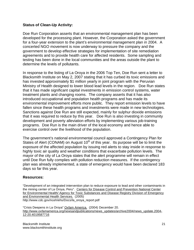# **Status of Clean-Up Activity:**

Doe Run Corporation asserts that an environmental management plan has been developed for the processing plant. However, the Corporation asked the government for a four-year extension to the plant's environmental management plan in 2004. A concerted NGO movement is now underway to pressure the company and the government to develop effective strategies for implementation of site remediation agreements and to provide health care for affected residents. Some sampling and testing has been done in the local communities and the areas outside the plant to determine the levels of pollutants.

In response to the listing of La Oroya in the 2006 Top Ten, Doe Run sent a letter to Blacksmith Institute on May 2, 2007 stating that it has curbed its toxic emissions and has invested approximately \$1 million yearly in joint program with the Peruvian Ministry of Health designed to lower blood lead levels in the region. Doe Run states that it has made significant capital investments in emission control systems, water treatment plants and changing rooms. The company asserts that it has also introduced occupational and population health programs and has made its environmental improvement efforts more public. They report emission levels to have fallen since these health programs and investments were made in new technologies. Sanctions against Doe Run are still expected, mainly for sulphur dioxide emissions that it was required to reduce by this year. Doe Run is also investing in community development and poverty alleviation efforts by implementing various job-training programs. Doe Run is the main driver of the local economy and hence able to exercise control over the livelihood of the population.

The government's national environmental council approved a Contingency Plan for States of Alert (CONAM) on August  $10<sup>th</sup>$  of this year. Its purpose will be to limit the exposure of the affected population by issuing red alerts to stay inside in response to highly toxic air quality and weather conditions that exacerbate pollution levels. The mayor of the city of La Oroya states that the alert programme will remain in effect until Doe Run fully complies with pollution reduction measures. If the contingency plan was already implemented, a state of emergency would have been declared 183 days so far this year.

# **Resources:**

"Development of an integrated intervention plan to reduce exposure to lead and other contaminants in the mining center of La Oroya, Peru". Centers for Disease Control and Prevention National Center for Environmental Health/ Agency for Toxic Substances and Disease Registry Division of Emergency and Environmental Health Services. (2005) http://www.cdc.gov/nceh/ehs/Docs/la\_oroya\_report.pdf

"Crisis Deepens in La Oroya" Oxfam America. (2004) December 20. http://www.oxfamamerica.org/newsandpublications/news\_updates/archive2004/news\_update.2004- 12-20.4019587716

Blacksmith Institute www.blacksmithinstitute.org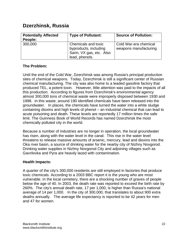# **Dzerzhinsk, Russia**

| <b>Potentially Affected</b><br>People: | <b>Type of Pollutant:</b>                                                                  | <b>Source of Pollution:</b>                    |
|----------------------------------------|--------------------------------------------------------------------------------------------|------------------------------------------------|
| 300,000                                | Chemicals and toxic<br>byproducts, including<br>Sarin, VX gas, etc. Also<br>lead, phenols. | Cold War-era chemical<br>weapons manufacturing |

# **The Problem:**

Until the end of the Cold War, Dzerzhinsk was among Russia's principal production sites of chemical weapons. Today, Dzerzhinsk is still a significant center of Russian chemical manufacturing. The city was also home to a leaded gasoline factory that produced TEL, a potent toxin. However, little attention was paid to the impacts of all this production. According to figures from Dzerzhinsk's environmental agency almost 300,000 tons of chemical waste were improperly disposed between 1930 and 1998. In this waste, around 190 identified chemicals have been released into the groundwater. In places, the chemicals have turned the water into a white sludge containing dioxins and high levels of phenol – an industrial chemical that can lead to acute poisoning and death. These levels are reportedly 17 million times the safe limit. The Guinness Book of World Records has named Dzerzhinsk the most chemically polluted city in the world.

Because a number of industries are no longer in operation, the local groundwater has risen, along with the water level in the canal. This rise in the water level threatens to release massive amounts of arsenic, mercury, lead and dioxins into the Oka river basin, a source of drinking water for the nearby city of Nizhny Novgorod. Drinking water supplies in Nizhny Novgorod City and adjoining villages such as Gavrilovka and Pyra are heavily laced with contamination.

# **Health Impacts:**

A quarter of the city's 300,000 residents are still employed in factories that produce toxic chemicals. According to a 2003 BBC report it is the young who are most vulnerable. In the local cemetery, there are a shocking number of graves of people below the age of 40. In 2003, the death rate was reported to exceed the birth rate by 260%. The city's annual death rate, 17 per 1,000, is higher than Russia's national average of 14 per 1,000. In the city of 300,000, that translates to about 900 extra deaths annually. The average life expectancy is reported to be 42 years for men and 47 for women.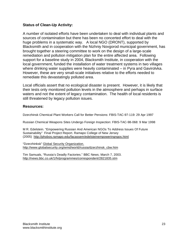# **Status of Clean-Up Activity:**

A number of isolated efforts have been undertaken to deal with individual plants and sources of contamination but there has been no concerted effort to deal with the huge problems in a systematic way. A local NGO (DRONT), supported by Blacksmith and in cooperation with the Nizhniy Novgorod municipal government, has brought together a steering committee to work on the design of a large-scale remediation and pollution mitigation plan for the entire affected area. Following support for a baseline study in 2004, Blacksmith Institute, in cooperation with the local government, funded the installation of water treatment systems in two villages where drinking water supplies were heavily contaminated – in Pyra and Gavirolvka. However, these are very small-scale initiatives relative to the efforts needed to remediate this devastatingly polluted area.

Local officials assert that no ecological disaster is present. However, it is likely that their tests only monitored pollution levels in the atmosphere and perhaps in surface waters and not the extent of legacy contamination. The health of local residents is still threatened by legacy pollution issues.

# **Resources:**

Dzerzhinsk Chemical Plant Workers Call for Better Pensions: FBIS-TAC-97-119: 29 Apr 1997

Russian Chemical Weapons Sites Undergo Foreign Inspection: FBIS-TAC-98-068: 9 Mar 1998

M R. Edelstein. "Empowering Russian And American NGOs To Address Issues Of Future Sustainability" Final Project Report. Ramapo College of New Jersey (2005) http://phobos.ramapo.edu/facassem/edelsteinempoweringngos.html

"Dzerzhinksk" Global Security Organization. http://www.globalsecurity.org/wmd/world/russia/dzerzhinsk\_cbw.htm

Tim Samuals, "Russia's Deadly Factories." BBC News. March 7, 2003. http://news.bbc.co.uk/1/hi/programmes/correspondent/2821835.stm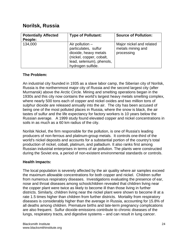# **Norilsk, Russia**

| <b>Potentially Affected</b><br>People: | <b>Type of Pollutant:</b>                                                                                                                        | <b>Source of Pollution:</b>                                 |
|----------------------------------------|--------------------------------------------------------------------------------------------------------------------------------------------------|-------------------------------------------------------------|
| 134,000                                | Air pollution $-$<br>particulates, sulfur<br>dioxide, heavy metals<br>(nickel, copper, cobalt,<br>lead, selenium), phenols,<br>hydrogen sulfide. | Major nickel and related<br>metals mining and<br>processing |

# **The Problem:**

An industrial city founded in 1935 as a slave labor camp, the Siberian city of Norilsk, Russia is the northernmost major city of Russia and the second largest city (after Murmansk) above the Arctic Circle. Mining and smelting operations began in the 1930s and this city now contains the world's largest heavy metals smelting complex, where nearly 500 tons each of copper and nickel oxides and two million tons of sulphur dioxide are released annually into the air. The city has been accused of being one of the most polluted places in Russia, where the snow is black, the air tastes of sulfur and the life expectancy for factory workers is 10 years below the Russian average. A 1999 study found elevated copper and nickel concentrations in soils in as much as a 60 km radius of the city.

Norilsk Nickel, the firm responsible for the pollution, is one of Russia's leading producers of non-ferrous and platinum-group metals. It controls one-third of the world's nickel deposits and accounts for a substantial portion of the country's total production of nickel, cobalt, platinum, and palladium. It also ranks first among Russian industrial enterprises in terms of air pollution. The plants were constructed during the Soviet era, a period of non-existent environmental standards or controls.

# **Health Impacts:**

The local population is severely affected by the air quality where air samples exceed the maximum allowable concentrations for both copper and nickel. Children suffer from numerous respiratory diseases. Investigations evaluating the presence of ear, nose and throat diseases among schoolchildren revealed that children living near the copper plant were twice as likely to become ill than those living in further districts. Similarly, children living near the nickel plant were shown to become ill at a rate 1.5 times higher than children from further districts. Mortality from respiratory diseases is considerably higher than the average in Russia, accounting for 15.8% of all deaths among children. Premature births and late-term pregnancy complications are also frequent. Sulfur dioxide emissions contribute to chronic diseases of the lungs, respiratory tracts, and digestive systems – and can result in lung cancer.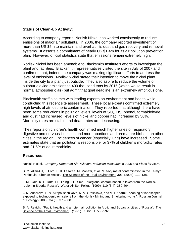### **Status of Clean-Up Activity:**

According to company reports, Norilsk Nickel has worked consistently to reduce emissions of major air pollutants. In 2006, the company reported investment of more than US \$5m to maintain and overhaul its dust and gas recovery and removal systems. It asserts a commitment of nearly US \$1.4m for its air pollution prevention plan. However, official statistics state that emissions remain extremely high.

Norilsk Nickel has been amenable to Blacksmith Institute's efforts to investigate the plant and facilities. Blacksmith representatives visited the site in July of 2007 and confirmed that, indeed, the company was making significant efforts to address the level of emissions. Norilsk Nickel stated their intention to move the nickel plant inside the city to a plant just outside. They also aspire to reduce the volume of sulphur dioxide emissions to 400 thousand tons by 2015 (which would result in normal atmospheric air) but admit that goal deadline is an extremely ambitious one.

Blacksmith staff also met with leading experts on environment and health while conducting this recent site assessment. These local experts confirmed extremely high levels of atmospheric contamination. They reported that although there have been some reductions in pollution levels, levels of  $SO<sub>2</sub>$ , HS, phenol, formaldehyde, and dust had increased; levels of nickel and copper had increased by 50%. Morbidity rates are stable and death rates are decreasing.

Their reports on children's health confirmed much higher rates of respiratory, digestive and nervous illnesses and more abortions and premature births than other cities in the region. Incidences of cancer (especially lung) have increased. Some estimates state that air pollution is responsible for 37% of children's morbidity rates and 21.6% of adult morbidity.

#### **Resources:**

Norilsk Nickel. *Company Report on Air Pollution Reduction Measures in 2006 and Plans for 2007.*

S. M. Allen-Gil, J. Ford, B. K. Lasorsa, M. Monetti, et al. "Heavy metal contamination in the Taimyr Peninsula, Siberian Arctic". The Science of the Total Environment 301 (2003) 119-138.

J. M. Blais, K. E. Duff, T.E. Laing, J.P. Smol. "Regional contamination in lakes from the Noril'sk region in Siberia, Russia". Water Air Soil Pollut. (1999) 110 (3-4) 389-404.

O.N. Zubareva, L. N. Skripal'shchikova, N. V. Greshilova, and V. I. Kharuk. "Zoning of landscapes exposed to technogenic emissions from the Norilsk Mining and Smeltering works". Russian Journal of Ecology (2003) 34 (6) 375-380.

B. A. Revich. "Public health and ambient air pollution in Arctic and Subarctic cities of Russia". The Science of the Total Environment. (1995). 160/161 585-592.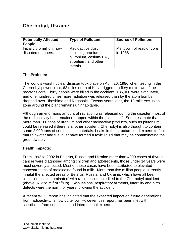# **Chernobyl, Ukraine**

| <b>Potentially Affected</b><br>People:          | <b>Type of Pollutant:</b>                                                                          | <b>Source of Pollution:</b>         |
|-------------------------------------------------|----------------------------------------------------------------------------------------------------|-------------------------------------|
| Initially 5.5 million, now<br>disputed numbers. | Radioactive dust<br>including uranium,<br>plutonium, cesium-137,<br>strontium, and other<br>metals | Meltdown of reactor core<br>in 1986 |

# **The Problem:**

The world's worst nuclear disaster took place on April 26, 1986 when testing in the Chernobyl power plant, 62 miles north of Kiev, triggered a fiery meltdown of the reactor's core. Thirty people were killed in the accident, 135,000 were evacuated, and one hundred times more radiation was released than by the atom bombs dropped over Hiroshima and Nagasaki. Twenty years later, the 19-mile exclusion zone around the plant remains uninhabitable.

Although an enormous amount of radiation was released during the disaster, most of the radioactivity has remained trapped within the plant itself. Some estimate that more than 100 tons of uranium and other radioactive products, such as plutonium, could be released if there is another accident. Chernobyl is also thought to contain some 2,000 tons of combustible materials. Leaks in the structure lead experts to fear that rainwater and fuel dust have formed a toxic liquid that may be contaminating the groundwater.

# **Health Impacts:**

From 1992 to 2002 in Belarus, Russia and Ukraine more than 4000 cases of thyroid cancer were diagnosed among children and adolescents, those under 14 years were most severely affected. Most of these cases have been attributed to elevated concentrations of radioiodine found in milk. More than five million people currently inhabit the affected areas of Belarus, Russia, and Ukraine, which have all been classified as 'contaminated' with radionuclides credited to the Chernobyl accident (above 37 kBq  $m^{-2}$  of  $137Cs$ ). Skin lesions, respiratory ailments, infertility and birth defects were the norm for years following the accident.

A recent WHO report has indicated that the expected impact on future generations from radioactivity is now quite low. However, this report has been met with scepticism from some local and international experts.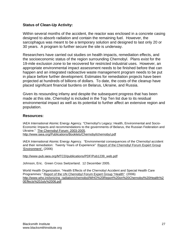# **Status of Clean-Up Activity:**

Within several months of the accident, the reactor was enclosed in a concrete casing designed to absorb radiation and contain the remaining fuel. However, the sarcophagus was meant to be a temporary solution and designed to last only 20 or 30 years. A program to further secure the site is underway.

Researchers have carried out studies on health impacts, remediation effects, and the socioeconomic status of the region surrounding Chernobyl. Plans exist for the 19-mile exclusion zone to be recovered for restricted industrial uses. However, an appropriate environmental impact assessment needs to be finished before that can happen and an integrated radioactive waste management program needs to be put in place before further development. Estimates for remediation projects have been projected at hundreds of billions of dollars. To date, the costs of the cleanup have placed significant financial burdens on Belarus, Ukraine, and Russia.

Given its resounding infamy and despite the subsequent progress that has been made at this site, Chernobyl is included in the Top Ten list due to its residual environmental impact as well as its potential to further affect an extensive region and population.

#### **Resources:**

IAEA International Atomic Energy Agency. "Chernobyl's Legacy: Health, Environmental and Socio-Economic Impacts and recommendations to the governments of Belarus, the Russian Federation and Ukraine." The Chernobyl Forum: 2003-2005.

http://www.iaea.org/Publications/Booklets/Chernobyl/chernobyl.pdf

IAEA International Atomic Energy Agency. "Environmental consequences of the Chernobyl accident and their remediation: Twenty Years of Experience" Report of the Chernobyl Forum Expert Group 'Environment'. (2006)

http://www-pub.iaea.org/MTCD/publications/PDF/Pub1239\_web.pdf

Johnson, Eric. Green Cross Switzerland. 12 December 2005.

World Health Organization. "Health Effects of the Chernobyl Accident and Special Health Care Programmes." Report of the UN Chernobyl Forum Expert Group "Health". (2006) http://www.who.int/ionizing\_radiation/chernobyl/WHO%20Report%20on%20Chernobyl%20Health%2 0Effects%20July%2006.pdf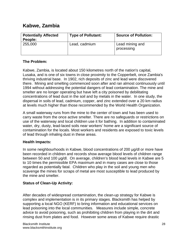# **Kabwe, Zambia**

| <b>Potentially Affected</b><br>People: | <b>Type of Pollutant:</b> | <b>Source of Pollution:</b>   |
|----------------------------------------|---------------------------|-------------------------------|
| 255,000                                | Lead, cadmium             | Lead mining and<br>processing |

# **The Problem:**

Kabwe, Zambia, is located about 150 kilometres north of the nation's capital, Lusaka, and is one of six towns in close proximity to the Copperbelt, once Zambia's thriving industrial base. In 1902, rich deposits of zinc and lead were discovered there. Mining and smelting commenced soon after and ran almost continuously until 1994 without addressing the potential dangers of lead contamination. The mine and smelter are no longer operating but have left a city poisoned by debilitating concentrations of lead dust in the soil and by metals in the water. In one study, the dispersal in soils of lead, cadmium, copper, and zinc extended over a 20 km radius at levels much higher than those recommended by the World Health Organization.

A small waterway runs from the mine to the center of town and has been used to carry waste from the once active smelter. There are no safeguards or restrictions on use of the waterway and local children use it for bathing. In addition to contaminated water, dry, dusty, lead-laced soils near workers' home are a significant source of contamination for the locals. Most workers and residents are exposed to toxic levels of lead through inhaling dust in these areas.

# **Health Impacts:**

In some neighbourhoods in Kabwe, blood concentrations of 200 µg/dl or more have been recorded in children and records show average blood levels of children range between 50 and 100 µg/dl. On average, children's blood lead levels in Kabwe are 5 to 10 times the permissible EPA maximum and in many cases are close to those regarded as potentially fatal. Children who play in the soil and young men who scavenge the mines for scraps of metal are most susceptible to lead produced by the mine and smelter.

# **Status of Clean-Up Activity:**

After decades of widespread contamination, the clean-up strategy for Kabwe is complex and implementation is in its primary stages. Blacksmith has helped by supporting a local NGO (KERF) to bring information and educational services on lead poisoning into the local communities. Measures include simple, concrete advice to avoid poisoning, such as prohibiting children from playing in the dirt and rinsing dust from plates and food. However some areas of Kabwe require drastic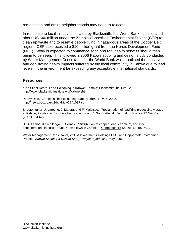remediation and entire neighbourhoods may need to relocate.

In response to local initiatives initiated by Blacksmith, the World Bank has allocated about US \$40 million under the Zambia Copperbelt Environmental Project (CEP) to clean up waste and to resettle people living in hazardous areas of the Copper Belt region. CEP also received a \$10 million grant from the Nordic Development Fund (NDF). Work is expected to commence soon and real health benefits should then begin to be seen. This followed a 2006 Kabwe scoping and design study conducted by Water Management Consultants for the World Bank which outlined the massive and debilitating health impacts suffered by the local community in Kabwe due to lead levels in the environment far exceeding any acceptable international standards.

### **Resources:**

"The Silent Death: Lead Poisoning in Kabwe, Zambia" Blacksmith Institute. 2001. http://www.blacksmithinstitute.org/kabwe.shtml

Penny Dale. "Zambia's child poisoning tragedy" BBC, Nov. 6, 2003. http://news.bbc.co.uk/2/hi/africa/3241037.stm

B. Leteinturier, J. Laroche, J. Matera, and F. Malaisse. "Reclamation of lead/zinc processing wastes at Kabwe, Zambia: a phytogeochemical approach." South Africaln Journal of Science 97 Nov/Dec (2001) 624-627.

B. D. Tembo, K Sichilongo, J. Cernak. "Distribution of copper, lead, cadmium, and zinc concentrations in soils around Kabwe town in Zambia." Chemosphere (2006) 63 497-501.

Water Management Consultants, ZCCM Investments Holdings PLC, and Copperbelt Environment Project*. Kabwe Scoping & Design Study, Project Synthesis*. May 2006.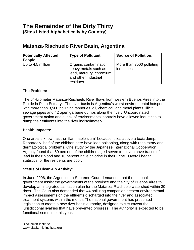# **The Remainder of the Dirty Thirty (Sites Listed Alphabetically by Country)**

# **Matanza-Riachuelo River Basin, Argentina**

| <b>Potentially Affected</b><br>People: | <b>Type of Pollutant:</b>                                                                                     | <b>Source of Pollution:</b>            |
|----------------------------------------|---------------------------------------------------------------------------------------------------------------|----------------------------------------|
| Up to 4.5 million                      | Organic contamination,<br>heavy metals such as<br>lead, mercury, chromium<br>and other industrial<br>residues | More than 3500 polluting<br>industries |

# **The Problem:**

The 64-kilometer Matanza-Riachuelo River flows from western Buenos Aires into the Río de la Plata Estuary. The river basin is Argentina's worst environmental hotspot with more than 3,500 polluting tanneries, oil, chemical, and metal plants, illicit sewage pipes and 42 open garbage dumps along the river. Uncoordinated government action and a lack of environmental controls have allowed industries to dump their effluents into the river indiscrimately.

# **Health Impacts:**

One area is known as the "flammable slum" because it lies above a toxic dump. Reportedly, half of the children here have lead poisoning, along with respiratory and dermatological problems. One study by the Japanese International Cooperation Agency found that 50 percent of the children aged seven to eleven have traces of lead in their blood and 10 percent have chlorine in their urine. Overall health statistics for the residents are poor.

# **Status of Clean-Up Activity:**

In June 2006, the Argentinean Supreme Court demanded that the national government assist the governments of the province and the city of Buenos Aires to develop an integrated sanitation plan for the Matanza-Riachuelo watershed within 30 days. The Court also demanded that 44 polluting companies present environmental impact assessments on the effluents discharged into the river and associated treatment systems within the month. The national government has presented legislation to create a new river basin authority, designed to circumvent the jurisdictional rivalries that have prevented progress. The authority is expected to be functional sometime this year.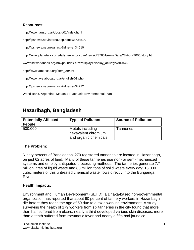# **Resources:**

http://www.farn.org.ar/docs/d01/index.html

http://ipsnews.net/interna.asp?idnews=34500

http://ipsnews.net/news.asp?idnews=34610

http://www.planetark.com/dailynewsstory.cfm/newsid/37851/newsDate/28-Aug-2006/story.htm

wwwesd.worldbank.org/bnwpp/index.cfm?display=display\_activity&AID=469

http://www.americas.org/item\_29436

http://www.avelaboca.org.ar/english-01.php

http://ipsnews.net/news.asp?idnews=34722

World Bank, Argentina, Matanza-Riachuelo Environmental Plan

# **Hazaribagh, Bangladesh**

| <b>Potentially Affected</b> | <b>Type of Pollutant:</b> | <b>Source of Pollution:</b> |
|-----------------------------|---------------------------|-----------------------------|
| People:                     |                           |                             |
| 500,000                     | Metals including          | <b>Tanneries</b>            |
|                             | hexavalent chromium       |                             |
|                             | and organic chemicals     |                             |

# **The Problem:**

Ninety percent of Bangladesh' 270 registered tanneries are located in Hazaribagh, on just 62 acres of land. Many of these tanneries use non- or semi-mechanized systems and employ antiquated processing methods. The tanneries generate 7.7 million litres of liquid waste and 88 million tons of solid waste every day; 15,000 cubic meters of this untreated chemical waste flows directly into the Buriganga River.

# **Health Impacts:**

Environment and Human Development (SEHD), a Dhaka-based non-governmental organization has reported that about 90 percent of tannery workers in Hazaribagh die before they reach the age of 50 due to a toxic working environment. A study surveying the health of 179 workers from six tanneries in the city found that more than half suffered from ulcers, nearly a third developed various skin diseases, more than a tenth suffered from rheumatic fever and nearly a fifth had jaundice.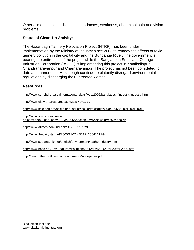Other ailments include dizziness, headaches, weakness, abdominal pain and vision problems.

# **Status of Clean-Up Activity:**

The Hazaribagh Tannery Relocation Project (HTRP), has been under implementation by the Ministry of Industry since 2003 to remedy the effects of toxic tannery pollution in the capital city and the Buriganga River. The government is bearing the entire cost of the project while the Bangladesh Small and Cottage Industries Corporation (BSCIC) is implementing this project in Kantiboilapur, Chandranarayanpur and Charnarayanpur. The project has not been completed to date and tanneries at Hazaribagh continue to blatantly disregard environmental regulations by discharging their untreated wastes.

# **Resources:**

http://www.sdnpbd.org/sdi/international\_days/wed/2005/bangladesh/industry/industry.htm

http://www.elaw.org/resources/text.asp?id=1779

http://www.scielosp.org/scielo.php?script=sci\_arttext&pid=S0042-96862001000100018

http://www.financialexpressbd.com/index3.asp?cnd=10/23/2005&section\_id=5&newsid=4669&spcl=n

http://www.atimes.com/ind-pak/BF23Df01.html

http://www.thedailystar.net/2005/11/21/d511212504121.htm

http://www.sos-arsenic.net/english/environment/leatherindustry.html

http://www.bcas.net/Env.Features/Pollution/2005/May2005/15%20to%2030.htm

http://fem.onthefrontlines.com/documents/whitepaper.pdf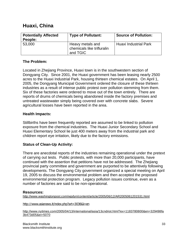# **Huaxi, China**

| <b>Potentially Affected</b><br>People: | <b>Type of Pollutant:</b>                                  | <b>Source of Pollution:</b>  |
|----------------------------------------|------------------------------------------------------------|------------------------------|
| 53,000                                 | Heavy metals and<br>chemicals like trifluralin<br>and TGIC | <b>Huaxi Industrial Park</b> |

# **The Problem:**

Located in Zhejiang Province, Huaxi town is in the southwestern section of Dongyang City. Since 2001, the Huaxi government has been leasing nearly 2500 acres to the Huaxi Industrial Park, housing thirteen chemical estates. On April 1, 2005, the Dongyang Municipal Government ordered the closure of these thirteen industries as a result of intense public protest over pollution stemming from them. Six of these factories were ordered to move out of the town entirely. There are reports of drums of chemicals being abandoned inside the factory premises and untreated wastewater simply being covered over with concrete slabs. Severe agricultural losses have been reported in the area.

# **Health Impacts:**

Stillbirths have been frequently reported are assumed to be linked to pollution exposure from the chemical industries. The Huaxi Junior Secondary School and Huaxi Elementary School lie just 400 meters away from the industrial park and children report eye irritation, likely due to the factory emissions.

# **Status of Clean-Up Activity:**

There are anecdotal reports of the industries remaining operational under the pretext of carrying out tests. Public protests, with more than 20,000 participants, have continued with the assertion that petitions have not be addressed. The Zhejiang provincial party committee and government are purported to be attentively following developments. The Dongyang City government organized a special meeting on April 19, 2005 to discuss the environmental problem and then accepted the proposed environmental protection program. Legacy pollution issues continue, even as a number of factories are said to be non-operational.

# **Resources:**

http://www.washingtonpost.com/wpdyn/content/article/2005/06/12/AR2005061201531.html

#### http://www.asianews.it/index.php?art=3036&l=en

http://www.nytimes.com/2005/04/13/international/asia/13cndriot.html?ex=1183780800&en=329498fa 3b473d05&ei=5070

Blacksmith Institute www.blacksmithinstitute.org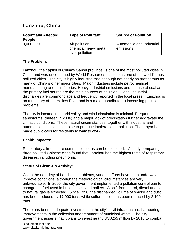# **Lanzhou, China**

| <b>Potentially Affected</b><br>People: | <b>Type of Pollutant:</b>                                 | <b>Source of Pollution:</b>            |
|----------------------------------------|-----------------------------------------------------------|----------------------------------------|
| 3,000,000                              | Air pollution,<br>chemical/heavy metal<br>river pollution | Automobile and industrial<br>emissions |

# **The Problem:**

Lanzhou, the capitol of China's Gansu province, is one of the most polluted cities in China and was once named by World Resources Institute as one of the world's most polluted cities. The city is highly industrialized although not nearly as prosperous as many of China's other major cities. Major industries include petrochemical manufacturing and oil refineries. Heavy industrial emissions and the use of coal as the primary fuel source are the main sources of pollution. Illegal industrial discharges are commonplace and frequently reported in the local press. Lanzhou is on a tributary of the Yellow River and is a major contributor to increasing pollution problems.

The city is located in an arid valley and wind circulation is minimal. Frequent sandstorms (thirteen in 2006) and a major lack of precipitation further aggravate the climatic conditions. These natural circumstances, together with industrial and automobile emissions combine to produce intolerable air pollution. The mayor has made public calls for residents to walk to work.

# **Health Impacts:**

Respiratory ailments are commonplace, as can be expected. A study comparing three polluted Chinese cities found that Lanzhou had the highest rates of respiratory diseases, including pneumonia.

# **Status of Clean-Up Activity:**

Given the notoriety of Lanzhou's problems, various efforts have been underway to improve conditions, although the meteorological circumstances are very unfavourable. In 2005, the city government implemented a pollution control ban to change the fuel used in buses, taxis, and boilers. A shift from petrol, diesel and coal to natural gas is expected. Since 1998, the discharged volume of smoke and dust has been reduced by 17,000 tons, while sulfur dioxide has been reduced by 2,100 tons.

There has been inadequate investment in the city's civil infrastructure, hampering improvements in the collection and treatment of municipal waste. The city government asserts that it plans to invest nearly US\$255 million by 2010 to combat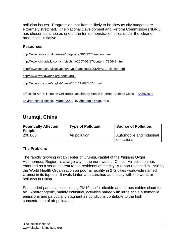pollution issues. Progress on that front is likely to be slow as city budgets are extremely stretched. The National Development and Reform Commission (NDRC) has chosen Lanzhou as one of the ten demonstration cities under the 'cleaner production' initiative.

# **Resources:**

http://www.time.com/time/asia/magazine/99/0927/lanzhou.html

http://www.chinadaily.com.cn/bizchina/2007-01/17/content\_785649.htm

http://www.iges.or.jp/kitakyushu/sp/air/Lanzhou%20(Air%20Pollution).pdf

http://www.worldwatch.org/node/4809

http://www.cctv.com/english/news/20011128/73674.html

Effects of Air Pollution on Children's Respiratory Health in Three Chinese Cities - Archives of

Environmental Health, March, 2000 by Zhengmin Qian, et al.

# **Urumqi, China**

| <b>Potentially Affected</b><br>People: | <b>Type of Pollutant:</b> | <b>Source of Pollution:</b>            |
|----------------------------------------|---------------------------|----------------------------------------|
| 200,000                                | Air pollution             | Automobile and industrial<br>emissions |

# **The Problem:**

The rapidly growing urban center of Urumqi, capital of the Xinjiang Uygur Autonomous Region, is a large city in the northwest of China. Air pollution has emerged as a serious threat to the residents of the city. A report released in 1998 by the World Health Organization on poor air quality in 272 cities worldwide named Urumqi in its top ten. It rivals Linfen and Lanzhou as the city with the worst air pollution in China.

Suspended particulates including PM10, sulfur dioxide and nitrous oxides cloud the air. Anthropogenic, mainly industrial, activities paired with large scale automobile emissions and particularly stagnant air conditions contribute to the high concentration of air pollutants.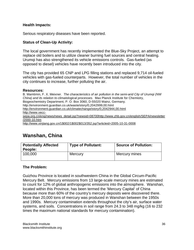# **Health Impacts:**

Serious respiratory diseases have been reported.

# **Status of Clean-Up Activity:**

The local government has recently implemented the Blue-Sky Project, an attempt to replace old boilers and to utilize cleaner burning fuel sources and central heating. Urumqi has also strengthened its vehicle emissions controls. Gas-fueled (as opposed to diesel) vehicles have recently been introduced into the city.

The city has provided 65 CNP and LPG filling stations and replaced 9,714 oil-fueled vehicles with gas-fueled counterparts. However, the total number of vehicles in the city continues to increase, further polluting the air.

### **Resources:**

B. Mamtimin, F. X. Meixner. *The characteristics of air pollution in the semi-arid City of Urumqi (NW China) and its relation to climatological processes.* Max Planck Institute for Chemistry, Biogeochemistry Department, P. O. Box 3060, D-55020 Mainz, Germany. http://environment.guardian.co.uk/waste/story/0,2042999,00.html http://environment.guardian.co.uk/climatechange/story/0,2042944,00.html http://www.veccsepa.org.cn/eng/news/news\_detail.jsp?newsid=08700http://www.zhb.gov.cn/english/SEPA/newsletter /2000-10.htm http://www.xinjiang.gov.cn/1\$002/1\$002\$013/352.jsp?articleid=2005-10-31-0008

# **Wanshan, China**

| <b>Potentially Affected</b><br>People: | <b>Type of Pollutant:</b> | <b>Source of Pollution:</b> |
|----------------------------------------|---------------------------|-----------------------------|
| 100,000                                | Mercury                   | Mercury mines               |

# **The Problem:**

Guizhou Province is located in southwestern China in the Global Circum-Pacific Mercury Belt. Mercury emissions from 13 large-scale mercury mines are estimated to count for 12% of global anthropogenic emissions into the atmosphere. Wanshan, located within this Province, has been termed the 'Mercury Capital' of China because more than 60% of the country's mercury deposits were discovered there. More than 20,000 tons of mercury was produced in Wanshan between the 1950s and 1990s. Mercury contamination extends throughout the city's air, surface water systems, and soils. Concentrations in soil range from 24.3 to 348 mg/kg (16 to 232 times the maximum national standards for mercury contamination).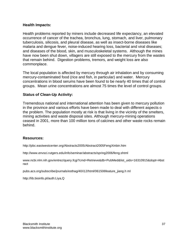### **Health Impacts:**

Health problems reported by miners include decreased life expectancy, an elevated occurrence of cancer of the trachea, bronchus, lung, stomach, and liver, pulmonary tuberculosis, silicosis, and pleural disease, as well as insect-borne diseases like malaria and dengue fever, noise-induced hearing loss, bacterial and viral diseases; and diseases of the blood, skin, and musculoskeletal systems. Although the mines have now been shut down, villagers are still exposed to the mercury from the wastes that remain behind. Digestion problems, tremors, and weight loss are also commonplace.

The local population is affected by mercury through air inhalation and by consuming mercury-contaminated food (rice and fish, in particular) and water. Mercury concentrations in blood serums have been found to be nearly 40 times that of control groups. Mean urine concentrations are almost 75 times the level of control groups.

# **Status of Clean-Up Activity:**

Tremendous national and international attention has been given to mercury pollution in the province and various efforts have been made to deal with different aspects o the problem. The population mostly at risk is that living in the vicinity of the smelters, mining activities and waste disposal sites. Although mercury-mining operations ceased in 2001, more than 100 million tons of calcines and other waste rocks remain behind.

# **Resources:**

http://pbc.eastwestcenter.org/Abstracts2005/Abstract2005FengXinbin.htm

http://www.envsci.rutgers.edu/info/seminar/abstracts/spring2006/feng.shtml

www.ncbi.nlm.nih.gov/entrez/query.fcgi?cmd=Retrieve&db=PubMed&list\_uids=16310915&dopt=Abst ract

pubs.acs.org/subscribe/journals/esthag/40/i12/html/061506feature\_jiang.h ml

http://lib.bioinfo.pl/auth:Liya,Q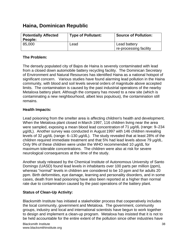# **Haina, Dominican Republic**

| <b>Potentially Affected</b><br>People: | <b>Type of Pollutant:</b> | <b>Source of Pollution:</b>            |
|----------------------------------------|---------------------------|----------------------------------------|
| 85,000                                 | Lead                      | Lead battery<br>re-processing facility |

# **The Problem:**

The densely populated city of Bajos de Haina is severely contaminated with lead from a closed down automobile battery recycling facility. The Dominican Secretary of Environment and Natural Resources has identified Haina as a national hotspot of significant concern. Various studies have found alarming lead pollution in the Haina community, with blood and soil levels several orders of magnitude above accepted limits. The contamination is caused by the past industrial operations of the nearby Metaloxa battery plant. Although the company has moved to a new site (which is contaminating a new neighbourhood, albeit less populous), the contamination still remains.

# **Health Impacts:**

Lead poisoning from the smelter area is affecting children's health and development. When the Metaloxa plant closed in March 1997, 116 children living near the area were sampled, exposing a mean blood lead concentration of 71 µg/dL (range: 9–234 g/dL). Another survey was conducted in August 1997 with 146 children revealing levels of 32  $\mu$ g/dL (range: 6–130  $\mu$ g/dL). The study revealed that at least 28% of the children required immediate treatment and that 5% had lead levels above 79 µg/dL. Only 9% of these children were under the WHO recommended 10 µg/dL for maximum tolerable concentrations. The children were also at risk for severe neurological consequences at the time of the study.

Another study released by the Chemical Institute of Autonomous University of Santo Domingo (UASD) found lead levels in inhabitants over 100 parts per million (ppm), whereas "normal" levels in children are considered to be 10 ppm and for adults 20 ppm. Birth deformities, eye damage, learning and personality disorders, and in some cases, death from lead poisoning have also been reported at a higher than normal rate due to contamination caused by the past operations of the battery plant.

# **Status of Clean-Up Activity:**

Blacksmith Institute has initiated a stakeholder process that cooperatively includes the local community, government and Metaloxa. The government, community groups, industry and local and international scientists have begun to work together to design and implement a clean-up program. Metaloxa has insisted that it is not to be held accountable for the entire extent of the pollution since other industries have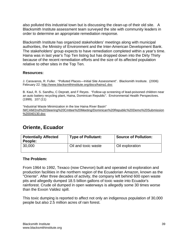also polluted this industrial town but is discussing the clean-up of their old site. A Blacksmith Institute assessment team surveyed the site with community leaders in order to determine an appropriate remediation response.

Blacksmith Institute has organized stakeholders' meetings along with municipal authorities, the Ministry of Environment and the Inter-American Development Bank. The stakeholders' group expects to have remediation completed within a year's time. Haina was in last year's Top Ten listing but has dropped down into the Dirty Thirty because of the recent remediation efforts and the size of its affected population relative to other sites in the Top Ten.

# **Resources:**

J. Caravanos, R. Fuller. "Polluted Places—Initial Site Assessment". Blacksmith Institute. (2006) February 22. http://www.blacksmithinstitute.org/docs/haina1.doc

B. Kaul, R. S. Sandhu, C Depratt, and F Reyes. "Follow-up screening of lead-poisoned children near an auto battery recycling plant, Haina, Dominican Republic". Environmental Health Perspectives. (1999). 107 (11)

"Industrial Waste Minimization in the low Haina River Basin" IWCAM/2nd%20Steering%20Cmttee%20Meeting/Dominican%20Republic%20Demo%20Submission %20040130.doc

# **Oriente, Ecuador**

| <b>Potentially Affected</b><br>People: | <b>Type of Pollutant:</b> | <b>Source of Pollution:</b> |
|----------------------------------------|---------------------------|-----------------------------|
| 30,000                                 | Oil and toxic waste       | Oil exploration             |

#### **The Problem:**

From 1964 to 1992, Texaco (now Chevron) built and operated oil exploration and production facilities in the northern region of the Ecuadorian Amazon, known as the "Oriente". After three decades of activity, the company left behind 600 open waste pits and allegedly dumped 18.5 billion gallons of toxic waste into Ecuador's rainforest. Crude oil dumped in open waterways is allegedly some 30 times worse than the Exxon Valdez spill.

This toxic dumping is reported to affect not only an indigenous population of 30,000 people but also 2.5 million acres of rain forest.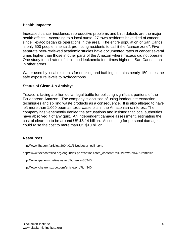### **Health Impacts:**

Increased cancer incidence, reproductive problems and birth defects are the major health effects. According to a local nurse, 27 town residents have died of cancer since Texaco began its operations in the area. The entire population of San Carlos is only 500 people, she said, prompting residents to call it the "cancer zone". Five separate peer-reviewed academic studies have documented rates of cancer several times higher than those in other parts of the Amazon where Texaco did not operate. One study found rates of childhood leukaemia four times higher in San Carlos than in other areas.

Water used by local residents for drinking and bathing contains nearly 150 times the safe exposure levels to hydrocarbons.

# **Status of Clean-Up Activity:**

Texaco is facing a billion dollar legal battle for polluting significant portions of the Ecuadorean Amazon. The company is accused of using inadequate extraction techniques and spilling waste products as a consequence. It is also alleged to have left more than 1,000 open-air toxic waste pits in the Amazonian rainforest. The company has vehemently denied the accusations and insisted that local authorities have absolved it of any guilt. An independent damage assessment, estimating the cost of clean-up to be around US \$6.14 billion. Accounting for personal damages could raise the cost to more than US \$10 billion.

#### **Resources:**

http://www.iht.com/articles/2004/01/13/edcesar\_ed3\_.php

http://www.texacotoxico.org/eng/index.php?option=com\_content&task=view&id=47&Itemid=2

http://www.ipsnews.net/news.asp?idnews=36940

http://www.chevrontoxico.com/article.php?id=340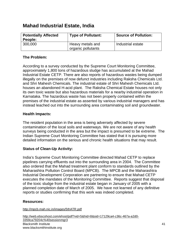# **Mahad Industrial Estate, India**

| <b>Potentially Affected</b><br>People: | <b>Type of Pollutant:</b>              | <b>Source of Pollution:</b> |
|----------------------------------------|----------------------------------------|-----------------------------|
| 300,000                                | Heavy metals and<br>organic pollutants | Industrial estate           |

# **The Problem:**

According to a survey conducted by the Supreme Court Monitoring Committee, approximately 1,800 tons of hazardous sludge has accumulated at the Mahad Industrial Estate CETP. There are also reports of hazardous wastes being dumped illegally on the premises of now defunct industries including Raksha Chemicals Ltd. and Shri Mahesh Chemicals. The industrial estate of Shri Mahesh Chemicals Ltd. houses an abandoned H-acid plant. The Raksha Chemical Estate houses not only its own toxic waste but also hazardous materials for a nearby industrial operation in Karnataka. The hazardous waste has not been properly contained within the premises of the industrial estate as asserted by various industrial managers and has instead leached out into the surrounding area contaminating soil and groundwater.

# **Health Impacts:**

The resident population in the area is being adversely affected by severe contamination of the local soils and waterways. We are not aware of any health surveys being conducted in the area but the impact is presumed to be extreme. The Indian Supreme Court Monitoring Committee has stated that it is pursuing more detailed information on the serious and chronic health situations that may result.

# **Status of Clean-Up Activity:**

India's Supreme Court Monitoring Committee directed Mahad CETP to replace pipelines carrying effluents out into the surrounding area in 2004. The Committee also ordered that the Mahad treatment plant conform to standards outlined by the Maharashtra Pollution Control Board (MPCB). The MPCB and the Maharashtra Industrial Development Corporation are partnering to ensure that Mahad CETP executes the mandates of the Monitoring Committee. Reports suggest that disposal of the toxic sludge from the industrial estate began in January of 2005 with a planned completion date of March of 2005. We have not learned of any definitive reports or studies confirming that this work was indeed completed.

# **Resources:**

http://mpcb.mah.nic.in/images/5thATR.pdf

Blacksmith Institute www.blacksmithinstitute.org http://web.ebscohost.com/ehost/pdf?vid=5&hid=8&sid=17129ca4-c36c-467a-a2d0- 3359ca79204c%40sessionmgr3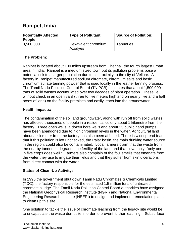# **Ranipet, India**

| <b>Potentially Affected</b><br>People: | <b>Type of Pollutant:</b>       | <b>Source of Pollution:</b> |
|----------------------------------------|---------------------------------|-----------------------------|
| 3,500,000                              | Hexavalent chromium,<br>Azodyes | Tanneries                   |

# **The Problem:**

Ranipet is located about 100 miles upstream from Chennai, the fourth largest urban area in India. Ranipet is a medium sized town but its pollution problems pose a potential risk to a larger population due to its proximity to the city of Vellore. A factory in Ranipet manufactured sodium chromate, chromium salts and basic chromium sulfate tanning powder that is used locally in the leather tanning process. The Tamil Nadu Pollution Control Board (TN PCB) estimates that about 1,500,000 tons of solid wastes accumulated over two decades of plant operation. These lie without check in an open yard (three to five meters high and on nearly five and a half acres of land) on the facility premises and easily leach into the groundwater.

# **Health Impacts:**

The contamination of the soil and groundwater, along with run off from solid wastes has affected thousands of people in a residential colony about 1 kilometre from the factory. Three open wells, a dozen bore wells and about 25 public hand pumps have been abandoned due to high chromium levels in the water. Agricultural land about a kilometer from the factory has also been affected. There is widespread fear that if this pollution is left unchecked, the Palar basin, the main drinking water source in the region, could also be contaminated. Local farmers claim that the waste from the nearby tanneries degrades the fertility of the land and that, invariably, "only one in five crops does well." Farmers also complain of the foul smells that emanate from the water they use to irrigate their fields and that they suffer from skin ulcerations from direct contact with the water.

# **Status of Clean-Up Activity:**

In 1996 the government shut down Tamil Nadu Chromates & Chemicals Limited (TCC), the factory responsible for the estimated 1.5 million tons of untreated chromate sludge. The Tamil Nadu Pollution Control Board authorities have assigned the National Geophysical Research Institute (NGRI) and National Environmental Engineering Research Institute (NEERI) to design and implement remediation plans to clean up this site.

One solution to tackle the issue of chromate leaching from the legacy site would be to encapsulate the waste dumpsite in order to prevent further leaching. Subsurface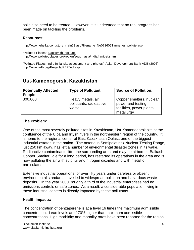soils also need to be treated. However, it is understood that no real progress has been made on tackling the problems.

### **Resources:**

http://www.tehelka.com/story\_main13.asp?filename=Ne071605Tanneries\_pollute.asp

"Polluted Places" Blacksmith Institute. http://www.pollutedplaces.org/region/south\_asia/india/ranipet.shtml

"Polluted Places: India Initial site assessment and photos". Asian Development Bank ADB (2006) http://www.adb.org/Projects/PEP/ind.asp

# **Ust-Kamenogorsk, Kazakhstan**

| <b>Potentially Affected</b><br>People: | <b>Type of Pollutant:</b>                             | <b>Source of Pollution:</b>                                                              |
|----------------------------------------|-------------------------------------------------------|------------------------------------------------------------------------------------------|
| 300,000                                | Heavy metals, air<br>pollutants, radioactive<br>waste | Copper smelters, nuclear<br>power and testing<br>facilities, power plants,<br>metallurgy |

### **The Problem:**

One of the most severely polluted sites in Kazakhstan, Ust-Kamenogorsk sits at the confluence of the Ulba and Irtysh rivers in the northeastern region of the country. It is home to the regional center of East Kazakhstan Oblast, one of the biggest industrial estates in the nation. The notorious Semipalatinsk Nuclear Testing Range, just 250 km away, has left a number of environmental disaster zones in its wake. Radioactive contaminants litter the surrounding area and may be airborne. Balkash Copper Smelter, idle for a long period, has restarted its operations in the area and is now polluting the air with sulphur and nitrogen dioxides and with metallic particulates.

Extensive industrial operations for over fifty years under careless or absent environmental standards have led to widespread pollution and hazardous waste deposits. In the year 2000, roughly a third of the industrial enterprises had no emissions controls or safe zones. As a result, a considerable population living in these industrial centers is directly impacted by these pollutants.

#### **Health Impacts:**

The concentration of benzaperene is at a level 16 times the maximum admissible concentration. Lead levels are 170% higher than maximum admissible concentrations. High morbidity and mortality rates have been reported for the region.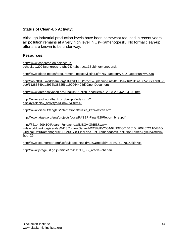# **Status of Clean-Up Activity:**

Although industrial production levels have been somewhat reduced in recent years, air pollution remains at a very high level in Ust-Kamenogorsk. No formal clean-up efforts are known to be under way.

### **Resources:**

http://www.congress-on-science-inschool.de/2005/congress\_e.php?ID=abstracts&Subj=kamenogorsk

http://www.globe-net.ca/procurement\_notices/listing.cfm?ID\_Region=7&ID\_Opportunity=2638

http://wbln0018.worldbank.org/RMC/PHRD/proc%20planning.nsf/01815e2162015aa085256c1b00521 ce9/11285849aa2936b385256c1b0064494d?OpenDocument

http://www.greensalvation.org/English/Publish\_eng/Herald\_2003-2004/2004\_08.htm

http://www-esd.worldbank.org/bnwpp/index.cfm? display=display\_activity&AID=427&Item=5

http://www.oieau.fr/anglais/international/russia\_kazakhstan.htm

http://www.atasu.org/eng/projects/docs/FASEP-Final%20Report\_brief.pdf

http://72.14.209.104/search?q=cache:wlMSGyrGhBEJ:www-

wds.worldbank.org/servlet/WDSContentServer/WDSP/IB/2004/07/19/000104615\_20040721104846/ Original/Ust0Kamenogorsk0PCN0ISDSFinal.doc+ust+kamenogorsk+pollution&hl=en&gl=us&ct=clnk &cd=26

http://www.counterpart.org/Default.aspx?tabid=340&metaid=F8FK0759-781&skin=cs

http://www.jstage.jst.go.jp/article/jrr/41/1/41\_35/\_article/-char/en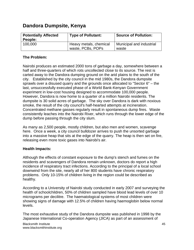# **Dandora Dumpsite, Kenya**

| <b>Potentially Affected</b><br>People: | <b>Type of Pollutant:</b>                   | <b>Source of Pollution:</b>       |
|----------------------------------------|---------------------------------------------|-----------------------------------|
| 100,000                                | Heavy metals, chemical<br>waste, PCBs, POPs | Municipal and industrial<br>waste |

# **The Problem:**

Nairobi produces an estimated 2000 tons of garbage a day, somewhere between a half and three-quarters of which rots uncollected close to its source. The rest is carted away to the Dandora dumping ground on the arid plains to the south of the city. Established by the city council in the mid 1980s, the Dandora dumpsite sprawls over a disused quarry and the grounds once allocated to "Sector 6" – the last, unsuccessfully executed phase of a World Bank-Kenyan Government experiment in low-cost housing designed to accommodate 100,000 people. However, Dandora is now home to a quarter of a million Nairobi residents. The dumpsite is 30 solid acres of garbage. The sky over Dandora is dark with noxious smoke, the result of the city council's half-hearted attempts at incineration. Concentrated methane gasses regularly result in spontaneous dump fires. Waste consistently leaches into the Nairobi River, which runs through the lower edge of the dump before passing through the city slum.

As many as 2,500 people, mostly children, but also men and women, scavenge here. Once a week, a city council bulldozer arrives to push the unsorted garbage into a massive heap that sits at the edge of the quarry. The heap is then set on fire, releasing even more toxic gases into Nairobi's air.

# **Health Impacts:**

Although the effects of constant exposure to the dump's stench and fumes on the residents and scavengers of Dandora remain unknown, doctors do report a high incidence of respiratory tract infections. According to the principal of a local school downwind from the site, nearly all of her 800 students have chronic respiratory problems. Only 10-15% of children living in the region could be described as healthy.

According to a University of Nairobi study conducted in early 2007 and surveying the health of schoolchildren, 50% of children sampled have blood lead levels of over 10 micrograms per decilitre. The haematological systems of most children were showing signs of damage with 12.5% of children having haemoglobin below normal levels.

The most exhaustive study of the Dandora dumpsite was published in 1998 by the Japanese International Co-operation Agency (JICA) as part of an assessment of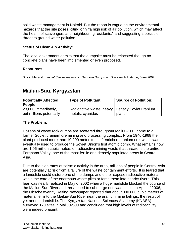solid waste management in Nairobi. But the report is vague on the environmental hazards that the site poses, citing only "a high risk of air pollution, which may affect the health of scavengers and neighbouring residents," and suggesting a possible threat to ground water pollution.

# **Status of Clean-Up Activity:**

The local government admits that the dumpsite must be relocated though no concrete plans have been implemented or even proposed.

# **Resources:**

Block, Meredith. *Initial Site Assessment: Dandora Dumpsite*. Blacksmith Institute, June 2007.

# **Mailuu-Suu, Kyrgyzstan**

| <b>Potentially Affected</b><br>People:          | <b>Type of Pollutant:</b>                                            | <b>Source of Pollution:</b> |
|-------------------------------------------------|----------------------------------------------------------------------|-----------------------------|
| 23,000 immediately,<br>but millions potentially | Radioactive waste, heavy   Legacy Soviet uranium<br>metals, cyanides | plant                       |

# **The Problem:**

Dozens of waste rock dumps are scattered throughout Mailuu-Suu, home to a former Soviet uranium ore mining and processing complex. From 1946-1968 the plant produced more than 10,000 metric tons of enriched uranium ore, which was eventually used to produce the Soviet Union's first atomic bomb. What remains now are 1.96 million cubic meters of radioactive mining waste that threatens the entire Ferghana Valley, one of the most fertile and densely populated areas in Central Asia.

Due to the high rates of seismic activity in the area, millions of people in Central Asia are potentially at risk from a failure of the waste containment efforts. It is feared that a landslide could disturb one of the dumps and either expose radioactive material within the core of the enormous waste piles or force them into nearby rivers. This fear was nearly realized in May of 2002 when a huge mudslide blocked the course of the Mailuu-Suu River and threatened to submerge one waste site. In April of 2006, the Obschestvenny Reiting Newspaper reported that about 300,000 cubic meters of material fell into the Mailuu-Suu River near the uranium mine tailings, the result of yet another landslide. The Kyrgyzstan National Sciences Academy (KNASA) surveyed 170 sites in Mailuu-Suu and concluded that high levels of radioactivity were indeed present.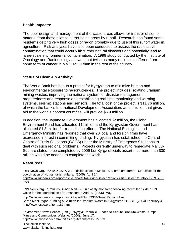### **Health Impacts:**

The poor design and management of the waste areas allows for transfer of some material from these piles to surrounding areas by runoff. Research has found some residents getting very high doses of radon probably due to use of this runoff water in agriculture. Risk analyses have also been conducted to assess the radioactive contamination that could occur with further natural disasters and potentially lead to large-scale environmental contamination. A 1999 study conducted by the Institute of Oncology and Radioecology showed that twice as many residents suffered from some form of cancer in Mailuu-Suu than in the rest of the country.

# **Status of Clean-Up Activity:**

The World Bank has begun a project for Kyrgyzstan to minimize human and environmental exposure to radionucleides. The project includes isolating uranium mining wastes, improving the national system for disaster management, preparedness and response and establishing real-time monitoring and warning systems, seismic stations and sensors. The total cost of the project is \$11.76 million, of which the bank's International Development Association, an institution that gives aid to the world's poorest countries, will provide \$6.9 million.

In addition, the Japanese Government has allocated \$2 million, the Global Environment Fund has allocated \$1 million and the Kyrgyzstan Government has allocated \$1.8 million for remediation efforts. The National Ecological and Emergency Ministry has reported that over 20 local and foreign firms have expressed interest in committing funding. Kyrgyzstan has established the Control Centre of Crisis Situations (CCCS) under the Ministry of Emergency Situations to deal with such regional problems. Projects currently underway to remediate Mailuu-Suu are slated to be completed by 2009 but Kyrgz officials assert that more than \$30 million would be needed to complete the work.

# **Resources:**

IRIN News Org. "KYRGYZSTAN: Landslide close to Mailuu-Suu uranium dump". UN Office for the coordination of Humanitarian Affairs. (2005) April 14. http://www.irinnews.org/report.asp?ReportID=46641&SelectRegion=Asia&SelectCountry=KYRGYZS

TAN

IRIN News Org. "KYRGYZSTAN: Mailuu-Suu closely monitored following recent landslide." UN Office for the coordination of Humanitarian Affairs. (2005) May.

http://www.irinnews.org/report.asp?ReportID=46933&SelectRegion=Asia Sarah MacGregor. "Finding a Solution for Uranium Waste in Kyrgyzstan." OSCE. (2004) February 4. http://www.osce.org/item/181.html

Environment News Service (ENS). "Kyrgyz Republic Funded to Secure Uranium Waste Dumps" Mines and Communities Website. (2004). June 17. http://www.minesandcommunities.org/Action/press375.htm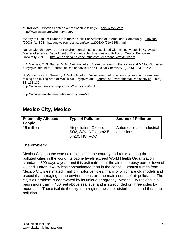M. Kozlova. "Worries Fester over radioactive tailings". Asia Water Wire. http://www.asiawaterwire.net/node/74

"Safety of Uranium Dumps in Kirghizia Calls For Attention of International Community" Pravada (2003) April 21. http://newsfromrussia.com/world/2003/04/21/46158.html

Nurlan Djenchuraev. Current Environmental issues associated with mining wastes in Kyrgyzstan. Master of science. Department of Environmental Sciences and Policy of Central European University. (1999). http://enrin.grida.no/case\_studies/nucFergana/kyrgyz\_12.pdf

I. A. Vasiliev, D. S. Barber, V. M. Alekhina, et al. "Uranium levels in the Naryn and MAiluu-Suu rivers of Kyrgyz Republic". Journal of Radioanalytical and Nuclear Chemistry. (2005) 263 207-212.

H. Vandenhove, L. Sweeck, D. Mallants, et al. "Assessment of radiation exposure in the uranium mining and milling area of Mailuu Suu, Kyrgyzstan". Journal of Environmental Radioactivity (2006) 88 118-139.

http://www.irinnews.org/report.aspx?reportid=26451

http://www.asiawaterwire.net/taxonomy/term/29

# **Mexico City, Mexico**

| <b>Potentially Affected</b><br>People: | <b>Type of Pollutant:</b>                                       | <b>Source of Pollution:</b>            |
|----------------------------------------|-----------------------------------------------------------------|----------------------------------------|
| 15 million                             | Air pollution: Ozone,<br>SO2, SOx, NOx, pm2.5-<br>pm10, HC, VOC | Automobile and industrial<br>emissions |

#### **The Problem:**

Mexico City has the worst air pollution in the country and ranks among the most polluted cities in the world. Its ozone levels exceed World Health Organization standards 300 days a year, and it is estimated that the air in the busy border town of Ciudad Juarez is 40% less contaminated than in the capital. Exhaust fumes from Mexico City's estimated 4 million motor vehicles, many of which are old models and especially damaging to the environement, are the main source of air pollutants. The city's air problem is aggravated by its unique geography. Mexico City resides in a basin more than 7,400 feet above sea level and is surrounded on three sides by mountains. These isolate the city from regional weather disturbances and thus trap pollution.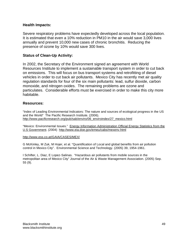### **Health Impacts:**

Severe respiratory problems have expectedly developed across the local population. It is estimated that even a 10% reduction in PM10 in the air would save 3,000 lives annually and prevent 10,000 new cases of chronic bronchitis. Reducing the presence of ozone by 10% would save 300 lives.

### **Status of Clean-Up Activity:**

In 2002, the Secretary of the Environment signed an agreement with World Resources Institute to implement a sustainable transport system in order to cut back on emissions. This will focus on bus transport systems and retrofitting of diesel vehicles in order to cut back air pollutants. Mexico City has recently met air quality regulation standards for four of the six main pollutants: lead, sulfur dioxide, carbon monoxide, and nitrogen oxides. The remaining problems are ozone and particulates. Considerable efforts must be exercised in order to make this city more habitable.

#### **Resources:**

"Index of Leading Environmental Indicators: The nature and sources of ecological progress in the US and the World" The Pacific Research Institute. (2006). http://www.pacificresearch.org/pub/sab/enviro/06\_enviroindex/27\_mexico.html

"Mexico: Environmental Issues." Energy Information Administration Official Energy Statistics from the U.S Government. (2004) http://www.eia.doe.gov/emeu/cabs/mexenv.html

#### http://www.ess.co.at/GAIA/CASES/MEX/

G McKinley, M Zuk, M Hojer, et al. "Quantification of Local and global benefits from air pollution control in Mexico City". Environmental Science and Technology. (2005) 39, 1954-1961.

I Schifter, L. Diaz, E Lopez-Salinas. "Hazardous air pollutants from mobile sources in the metropolitan area of Mexico City" Journal of the Air & Waste Management Association. (2005) Sep. 55 (9).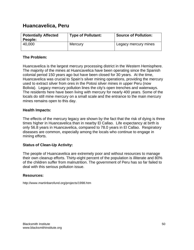# **Huancavelica, Peru**

| <b>Potentially Affected</b><br>People: | <b>Type of Pollutant:</b> | <b>Source of Pollution:</b> |
|----------------------------------------|---------------------------|-----------------------------|
| 40,000                                 | Mercury                   | Legacy mercury mines        |

# **The Problem:**

Huancavelica is the largest mercury processing district in the Western Hemisphere. The majority of the mines at Huancavelica have been operating since the Spanish colonial period 150 years ago but have been closed for 30 years. At the time, Huancavelica was crucial to Spain's silver mining operations, providing the mercury used to extract silver from ores in the Potosi silver mines in upper Peru (now Bolivia). Legacy mercury pollution lines the city's open trenches and waterways. The residents here have been living with mercury for nearly 400 years. Some of the locals do still mine mercury on a small scale and the entrance to the main mercury mines remains open to this day.

# **Health Impacts:**

The effects of the mercury legacy are shown by the fact that the risk of dying is three times higher in Huancavelica than in nearby El Callao. Life expectancy at birth is only 56.8 years in Huancavelica, compared to 78.0 years in El Callao. Respiratory diseases are common, especially among the locals who continue to engage in mining efforts.

# **Status of Clean-Up Activity:**

The people of Huancavelica are extremely poor and without resources to manage their own cleanup efforts. Thirty-eight percent of the population is illiterate and 80% of the children suffer from malnutrition. The government of Peru has so far failed to deal with this serious pollution issue.

# **Resources:**

http://www.martinbarofund.org/projects/1998.htm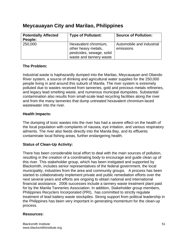# **Meycauayan City and Marilao, Philippines**

| <b>Potentially Affected</b> | <b>Type of Pollutant:</b> | <b>Source of Pollution:</b> |
|-----------------------------|---------------------------|-----------------------------|
| People:                     |                           |                             |
| 250,000                     | Hexavalent chromium,      | Automobile and industrial   |
|                             | other heavy metals,       | emissions                   |
|                             | pesticides, sewage, solid |                             |
|                             | waste and tannery waste   |                             |

# **The Problem:**

Industrial waste is haphazardly dumped into the Marilao, Meycauayan and Obando River system, a source of drinking and agricultural water supplies for the 250,000 people living in and around this suburb of Manila. The river system is extremely polluted due to wastes received from tanneries, gold and precious metals refineries, and legacy lead smelting waste, and numerous municipal dumpsites. Substantial contamination also results from small-scale lead recycling facilities along the river and from the many tanneries that dump untreated hexavalent chromium-laced wastewater into the river.

# **Health Impacts:**

The dumping of toxic wastes into the river has had a severe effect on the health of the local population with complaints of nausea, eye irritation, and various respiratory ailments. The river also feeds directly into the Manila Bay, and its effluents contaminate local fishing areas, further endangering health.

# **Status of Clean-Up Activity:**

There has been considerable local effort to deal with the main sources of pollution, resulting in the creation of a coordinating body to encourage and guide clean up of this river. This stakeholder group, which has been instigated and supported by Blacksmith, includes senior representatives of the federal government, the local municipality, industries from the area and community groups. A process has been started to collaboratively implement private and public remediation efforts over the next several years and efforts are ongoing to obtain national and international financial assistance. 2006 successes include a tannery waste treatment plant paid for by the Manila Tanneries Association. In addition, Stakeholder group members, Philippines Recyclers Incorporated (PRI), has committed to strictly regulate treatment of lead battery waste stockpiles. Strong support from political leadership in the Philippines has been very important in generating momentum for the clean-up process.

# **Resources:**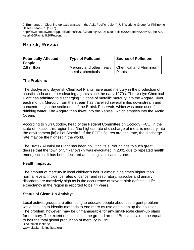J. Emmanuel. "Cleaning up toxic wastes in the Asia Pacific region." US Working Group for Philippine Bases Clean-up. (1997) http://www.focusweb.org/publications/1997/Cleaning%20Up%20Toxic%20Wastes%20in%20the%20 Asia%20Pacific%20Region.htm

# **Bratsk, Russia**

| <b>Potentially Affected</b><br>People: | <b>Type of Pollutant:</b>                                             | <b>Source of Pollution:</b> |
|----------------------------------------|-----------------------------------------------------------------------|-----------------------------|
| 2.8 million                            | Mercury and other heavy   Chemical and Aluminium<br>metals, chemicals | <b>Plants</b>               |

# **The Problem:**

The Usolye and Sayansk Chemical Plants have used mercury in the production of caustic soda and other cleaning agents since the early 1970s. The Usolye Chemical Plant has admitted to discharging 2.5 tons of metallic mercury into the Angara River each month. Mercury from the stream has travelled several miles downstream and concentrating in the sediments of the Bratsk Reservoir, which was once used for drinking water. The Angara then flows into the Yenisei, which empties into the Arctic Ocean.

According to Yuri Udodov, head of the Federal Committee on Ecology (FCE) in the state of Irkutsk, this region has "the highest rate of discharge of metallic mercury into the environment [in] all of Siberia." If the FCE's figures are accurate, the discharge rate may be the highest in the world.

The Bratsk Aluminium Plant has been polluting its surroundings to such great degree that the town of Chikanovskiy was evacuated in 2001 due to repeated health emergencies. It has been declared an ecological disaster zone.

# **Health Impacts:**

The amount of mercury in local children's hair is almost nine times higher than normal levels. Incidence rates of cancer and respiratory, vascular and urinary disorders are massively high as is the occurrence of severe birth defects. Life expectancy in the region is reported to be 44 years.

# **Status of Clean-Up Activity:**

Blacksmith Institute www.blacksmithinstitute.org Local activist groups are attempting to educate people about this urgent problem while seeking to identify methods to end mercury use and clean up the pollution. The problem, however, may be unmanageable for any small-scale clean-up plans for mercury. The extent of pollution in the ground around Bratsk is said to be equal to half the total global production of mercury in 1992.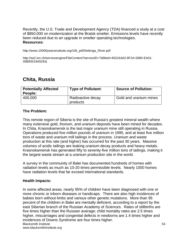Recently, the U.S. Trade and Development Agency (TDA) financed a study at a cost of \$850,000 on modernization at the Bratsk smelter. Emissions levels have recently been reduced due to an upgrade in smelter operating technologies. **Resources:** 

http://www.10000yearsinstitute.org/10k\_pdf/Selenga\_River.pdf

http://se2.isn.ch/serviceengine/FileContent?serviceID=7&fileid=45316A02-8F2A-5890-EA01- 35B93519A52E&

# **Chita, Russia**

| <b>Potentially Affected</b><br>People: | <b>Type of Pollutant:</b>     | <b>Source of Pollution:</b> |
|----------------------------------------|-------------------------------|-----------------------------|
| 400,000                                | Radioactive decay<br>products | Gold and uranium mines      |

# **The Problem:**

This remote region of Siberia is the site of Russia's greatest mineral wealth where many extensive gold, thorium, and uranium deposits have been mined for decades. In Chita, Krasnokamensk is the last major uranium mine still operating in Russia. Operations produced five million pounds of uranium in 1995, and at least five million tons of waste and uranium mill tailings in the process. Uranium and waste production at this rate (and higher) has occurred for the past 30 years. Massive volumes of acidic tailings are leaking uranium decay products and heavy metals. Krasnokamensk has generated fifty to seventy-five million tons of tailings, making it the largest waste stream at a uranium production site in the world.

A survey in the community of Balei has documented hundreds of homes with radiation levels as much as 10-20 times permissible levels. Nearly 1000 homes have radiation levels that far exceed international standards.

#### **Health Impacts:**

Blacksmith Institute www.blacksmithinstitute.org In some affected areas, nearly 95% of children have been diagnosed with one or more chronic or inborn diseases or handicaps. There are also high incidences of babies born without limbs and various other genetic mutations. More than 95 percent of the children in Balei are mentally deficient, according to a report by the east Siberian branch of the Russian Academy of Sciences. Rates of stillbirths are five times higher than the Russian average; child mortality rates are 2.5 times higher, miscarriages and congenital defects in newborns are 1.4 times higher and incidences of Downs Syndrome are four times higher.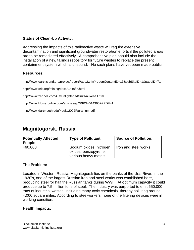# **Status of Clean-Up Activity:**

Addressing the impacts of this radioactive waste will require extensive decontamination and significant groundwater restoration efforts if the polluted areas are to be remediated effectively. A comprehensive plan should also include the installation of a new tailings repository for future wastes to replace the present containment system which is unsound. No such plans have yet been made public.

### **Resources:**

http://www.earthisland.org/project/reportPage2.cfm?reportContentID=13&subSiteID=1&pageID=71

http://www.sric.org/mining/docs/Chitafin.html

http://www.zenhell.com/GetEnlightened/links/nukehell.htm

http://www.kluweronline.com/article.asp?PIPS=5143902&PDF=1

http://www.dartmouth.edu/~dujs/2002F/uranium.pdf

# **Magnitogorsk, Russia**

| <b>Potentially Affected</b><br>People: | <b>Type of Pollutant:</b> | <b>Source of Pollution:</b> |
|----------------------------------------|---------------------------|-----------------------------|
| 460,000                                | Sodium oxides, nitrogen   | Iron and steel works        |
|                                        | oxides, benzopyrene,      |                             |
|                                        | various heavy metals      |                             |

# **The Problem:**

Located in Western Russia, Magnitogorsk lies on the banks of the Ural River. In the 1930's, one of the largest Russian iron and steel works was established here, producing steel for half the Russian tanks during WWII. At optimum capacity it could produce up to 7.5 million tons of steel. The industry was purported to emit 650,000 tons of industrial wastes, including many toxic chemicals, thereby polluting around 4,000 square miles. According to steelworkers, none of the filtering devices were in working condition.

#### **Health Impacts:**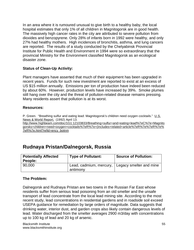In an area where it is rumoured unusual to give birth to a healthy baby, the local hospital estimates that only 1% of all children in Magnitogorsk are in good health. The massively high cancer rates in the city are attributed to severe pollution from dioxides and benzopyrene. Only 28% of infants born in 1992 were healthy, and only 27% had healthy mothers. High incidences of bronchitis, asthma, and lung cancers are reported. The results of a study conducted by the Chelyabinsk Provincial Institute for Public Health and Environment in 1994 were so extraordinary that the provincial Ministry for the Environment classified Magnitogorsk as an ecological disaster zone.

# **Status of Clean-Up Activity:**

Plant managers have asserted that much of their equipment has been upgraded in recent years. Funds for such new investment are reported to exist at an excess of US \$15 million annually. Emissions per ton of production have indeed been reduced by about 60%. However, production levels have increased by 39%. Smoke plumes still hang over the city and the threat of pollution-related disease remains pressing. Many residents assert that pollution is at its worst.

# **Resources:**

P. Green. "Breathing sulfur and eating lead: Magnitogorsk's children need oxygen cocktails." U.S. News & World Report. (1992) April 13.

http://www.highbeam.com/doc/1G1:12103833/Breathing+sulfur+and+eating+lead%7eC%7e+Magnito gorsks+children+need+oxygen+cocktails%7eR%7e+(includes+related+article%7eR%7e%7eR%7e% 7eR%7e.html?refid=ency\_botnm

# **Rudnaya Pristan/Dalnegorsk, Russia**

| <b>Potentially Affected</b><br>People: | <b>Type of Pollutant:</b>                                     | <b>Source of Pollution:</b> |
|----------------------------------------|---------------------------------------------------------------|-----------------------------|
| 90,000                                 | Lead, cadmium, mercury,   Legacy smelter and mine<br>antimony |                             |

# **The Problem:**

Dalnegorsk and Rudnaya Pristan are two towns in the Russian Far East whose residents suffer from serious lead poisoning from an old smelter and the unsafe transport of lead concentrate from the local lead mining site. According to the most recent study, lead concentrations in residential gardens and in roadside soil exceed USEPA guidance for remediation by large orders of magnitude. Data suggests that drinking water, interior dust, and garden crops also likely contain dangerous levels of lead. Water discharged from the smelter averages 2900 m3/day with concentrations up to 100 kg of lead and 20 kg of arsenic.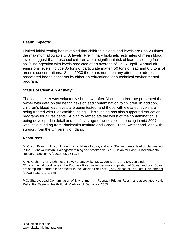### **Health Impacts:**

Limited initial testing has revealed that children's blood lead levels are 8 to 20 times the maximum allowable U.S. levels. Preliminary biokinetic estimates of mean blood levels suggest that preschool children are at significant risk of lead poisoning from soil/dust ingestion with levels predicted at an average of 13-27 µg/dl. Annual air emissions levels include 85 tons of particulate matter, 50 tons of lead and 0.5 tons of arsenic concentrations. Since 1930 there has not been any attempt to address associated health concerns by either an educational or a technical environmental program.

# **Status of Clean-Up Activity:**

The lead smelter was voluntarily shut down after Blacksmith Institute presented the owner with data on the health risks of lead contamination to children. In addition, children's blood lead levels are being tested, and those with elevated levels are being treated with Blacksmith funding. This funding has also supported education programs for all residents. A plan to remediate the worst of the contamination is being developed in detail and the first stage of work is commencing in mid 2007, with initial funding from Blacksmith Institute and Green Cross Switzerland, and with support from the University of Idaho.

#### **Resources:**

M. C. von Braun, I. H. von Lindern, N. K. Khristoforova, and et a. "Environmental lead contamination in the Rudnaya Pristan--Dalnegorsk mining and smelter district, Russian far East". Environmental Research Section A (2002) 88, 164-173.

A. N. Kachur, V. S. Arzhanova, P. V. Yelpatyevsky, M. C. von Braun, and I.H. von Lindern. "Environmental conditions in the Rudnaya River watershed––a compilation of Soviet and post-Soviet era sampling around a lead smelter in the Russian Far East". The Science of The Total Environment (2003) 303:1-2 171-185

P.O. Sharov, Lead Contamination of Environment in Rudnaya Pristan, Russia and associated Health Risks. Far Eastern Health Fund. Vladivostok Dalnauka, 2005.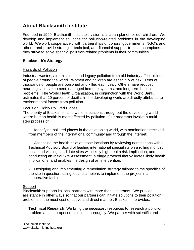# **About Blacksmith Institute**

Founded in 1999, Blacksmith Institute's vision is a clean planet for our children. We develop and implement solutions for pollution-related problems in the developing world. We work cooperatively with partnerships of donors, governments, NGO's and others, and provide strategic, technical, and financial support to local champions as they strive to solve specific, pollution-related problems in their communities.

# **Blacksmith's Strategy**

### Hazards of Pollution

Industrial wastes, air emissions, and legacy pollution from old industry affect billions of people around the world. Women and children are especially at risk. Tens of thousands of people are poisoned and killed each year. Others have reduced neurological development, damaged immune systems, and long-term health problems. The World Heath Organization, in conjunction with the World Bank, estimates that 20 percent of deaths in the developing world are directly attributed to environmental factors from pollution.

### Focus on Highly Polluted Places

The priority of Blacksmith is to work in locations throughout the developing world where human health is most affected by pollution. Our programs involve a multistep process of:

- Identifying polluted places in the developing world, with nominations received from members of the international community and through the internet;
- Assessing the health risks at those locations by reviewing nominations with a Technical Advisory Board of leading international specialists on a rolling monthly basis and visiting candidate sites with likely high health risk implication, and conducting an Initial Site Assessment, a triage protocol that validates likely health implications, and enables the design of an intervention.
- Designing and implementing a remediation strategy tailored to the specifics of the site in question, using local champions to implement the project in a cooperative fashion.

#### Support

Blacksmith supports its local partners with more than just grants. We provide assistance in other ways so that our partners can initiate solutions to their pollution problems in the most cost effective and direct manner. Blacksmith provides:

**Technical Research**: We bring the necessary resources to research a pollution problem and its proposed solutions thoroughly. We partner with scientific and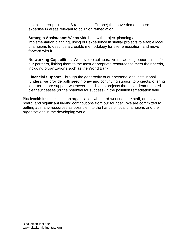technical groups in the US (and also in Europe) that have demonstrated expertise in areas relevant to pollution remediation.

**Strategic Assistance:** We provide help with project planning and implementation planning, using our experience in similar projects to enable local champions to describe a credible methodology for site remediation, and move forward with it.

**Networking Capabilities**: We develop collaborative networking opportunities for our partners, linking them to the most appropriate resources to meet their needs, including organizations such as the World Bank.

**Financial Support**: Through the generosity of our personal and institutional funders, we provide both seed money and continuing support to projects, offering long-term core support, whenever possible, to projects that have demonstrated clear successes (or the potential for success) in the pollution remediation field.

Blacksmith Institute is a lean organization with hard-working core staff, an active board, and significant in-kind contributions from our founder. We are committed to putting as many resources as possible into the hands of local champions and their organizations in the developing world.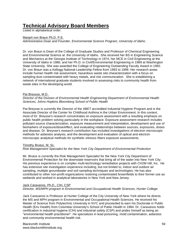# **Technical Advisory Board Members** Listed in alphabetical order.

#### Margrit von Braun Ph.D. P.E.

*Administrative Dean and Founder, Environmental Science Program, University of Idaho*.

Dr. von Braun is Dean of the College of Graduate Studies and Professor of Chemical Engineering and Environmental Science at the University of Idaho. She received her BS in Engineering Science and Mechanics at the Georgia Institute of Technology in 1974, her MCE in Civil Engineering at the University of Idaho in 1980, and her Ph.D. in Civil/Environmental Engineering in 1989 at Washington State University. She was awarded the College of Engineering Outstanding Faculty Award in 1992. Dr. von Braun was a Kellogg National Leadership Fellow from 1993 to 1996. Her research areas include human health risk assessment, hazardous waste site characterization with a focus on sampling dust contaminated with heavy metals, and risk communication. She is establishing a network of international graduate students involved in assessing risks to community health from waste sites in the developing world.

#### Pat Breysse, M.D.

*Director of the Division of Environmental Health Engineering Department of Environmental Health Sciences, Johns Hopkins Bloomberg School of Public Health* 

Pat Breysse is currently the Director of the ABET accredited Industrial Hygiene Program and is the Associate Director of the Center for Childhood Asthma in the Urban Environment. In this context, most of Dr. Breysse's research concentrates on exposure assessment with a resulting emphasis on public health problem solving particularly in the workplace. Exposure assessment research includes pollutant source characterization, exposure measurement and interpretation, development and use of biomarkers of exposure/dose/effect, and evaluating relationships between sources, exposures, doses and disease. Dr. Breysse's research contribution has included investigations of electron microscopic methods for asbestos analysis, and the development and evaluation of optical and electron microscopic analytical methods for synthetic vitreous fibers exposure assessments.

#### Timothy Brutus, M. Sc.

*Risk Management Specialist for the New York City Department of Environmental Protection* 

Mr. Brutus is currently the Risk Management Specialist for the New York City Department of Environmental Protection for the downstate reservoirs that bring all of the water into New York City. His previous experience is on complex multi-technology remediation projects with CH2M Hill, Inc. He has extensive site investigation experience including, but not limited to, indoor and outdoor air sampling, multiple groundwater and soil sampling techniques and technologies. He has also contributed to other non-profit organizations restoring contaminated brownfields to their former use as wetlands and worked in analytical laboratories in New York and New Jersey.

#### Jack Caravanos, Ph.D., CIH, CSP

*Director, MS/MPH program in Environmental and Occupational Health Sciences, Hunter College* 

Jack Caravanos is Professor at Hunter College of the City University of New York where he directs the MS and MPH program in Environmental and Occupational Health Sciences. He received his Master of Science from Polytechnic University in NYC and proceeded to earn his Doctorate in Public Health (Env Health) from Columbia University's School of Public Health in 1984. Dr. Caravanos holds certification in industrial hygiene (CIH) and industrial safety (CSP) and prides himself as being an "environmental health practitioner". He specializes in lead poisoning, mold contamination, asbestos and community environmental health risk.

Blacksmith Institute www.blacksmithinstitute.org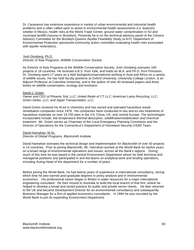Dr. Caravanos has extensive experience in variety of urban environmental and industrial health problems and is often called upon to assist in environmental health assessments (i.e. lead/zinc smelter in Mexico, health risks at the World Trade Center, ground water contamination in NJ and municipal landfill closures in Brooklyn). Presently he is on the technical advisory panel of the Citizens Advisory Committee for the Brooklyn-Queens Aquifer Feasibility Study (a NYC Department of Environmental Protection sponsored community action committee evaluating health risks associated with aquifer restoration).

#### Josh Ginsberg, Ph.D. *Director of Asia Programs, Wildlife Conservation Society*

As Director of Asia Programs at the Wildlife Conservation Society, Josh Ginsberg oversees 100 projects in 16 countries. He received a B.S. from Yale, and holds an M.A. and Ph.D. from Princeton. Dr. Ginsberg spent 17 years as a field biologist/conservationist working in Asia and Africa on a variety of wildlife issues. He has held faculty positions at Oxford University, University College London, is an Adjunct Professor at Columbia University, and is the author of over 40 reviewed papers and three books on wildlife conservation, ecology and evolution.

#### David J. Green

*Owner and CEO of Phoenix Soil, LLC; United Retek of CT LLC; American Lamp Recycling, LLC; Green Globe, LLC; and Jayjet Transportation, LLC.*

David Green received his M.ed in chemistry and has owned and operated hazardous waste remediation companies since 1979. His companies have conducted in-situ and ex-situ treatments of hazardous materials on over 16,700 sites in the US, China, UK, and central Europe. The technologies incorporated include, low temperature thermal desorption, solidification/stabilization and chemical treatment. Mr. Green serves as Chairman of the Local Emergancy Planning Commision and the Director of Operations for the Connecticut's Department of Homeland Security USAR Team.

#### David Hanrahan, M.Sc.

#### *Director of Global Programs, Blacksmith Institute*

David Hanrahan oversees the technical design and implementation for Blacksmith of over 40 projects in 14 countries. Prior to joining Blacksmith, Mr. Hanrahan worked at the World Bank for twelve years on a broad range of environmental operations and issues, across all the Bank's regions. During much of this time he was based in the central Environment Department where he held technical and managerial positions and participated in and led teams on analytical work and lending operations, including Acting Head of the department for a number of years.

Before joining the World Bank, he had twenty years of experience in international consultancy, during which time he also earned post-graduate degrees in policy analysis and in environmental economics. His professional career began in Britain in water resources for a major international engineering consultant. He then moved to Australia to build the local branch of that firm, where he helped to develop a broad and varied practice for public and private sector clients. He later returned to the UK and became Development Director for an environmental consultancy and subsequently Business Manager for a firm of applied economics consultants. In 1994 he was recruited by the World Bank to join its expanding Environment Department.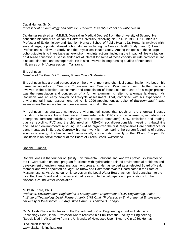#### David Hunter, Sc.D. *Professor of Epidemiology and Nutrition, Harvard University School of Public Health*

Dr. Hunter received an M.B.B.S. (Australian Medical Degree) from the University of Sydney. He continued his formal education at Harvard University, receiving his Sc.D. in 1988. Dr. Hunter is a Professor of Epidemiology and Nutrition, Harvard School of Public Health. Dr. Hunter is involved with several large, population-based cohort studies, including the Nurses' Health Study (I and II), Health Professionals Follow-up Study, and the Physicians' Health Study. Among the goals of these large cohort studies is to investigate gene-environment interactions, including the impact of lifestyle factors, on disease causation. Disease endpoints of interest for some of these cohorts include cardiovascular disease, diabetes, and osteoporosis. He is also involved in long running studies of nutritional influences on HIV progression in Tanzania.

#### Eric Johnson

#### *Member of the Board of Trustees, Green Cross Switzerland*

Eric Johnson has a broad perspective on the environment and chemical contamination. He began his career as an editor of *Chemical Engineering* and *Chemical Week* magazines. He then became involved in the selection, assessment and remediation of industrial sites. One of his major projects was the remediation and conversion of a former aluminum smelter to alternate land-use. Mr. Robinson was an early adopter of life-cycle assessment. That, combined with his experience in environmental impact assessment, led to his 1996 appointment as editor of *Environmental Impact Assessment Review* – a leading peer-reviewed journal in the field.

Mr. Johnson has analyzed numerous environmental issues that touch on the chemical industry including: alternative fuels, brominated flame retardants, CFCs and replacements, ecolabels (for detergents, furniture polishes, hairsprays and personal computers), GHG emissions and trading, plastics recycling, PVC and the chlorine-chain, REACH, socially-responsible investing, tri-butyl tins and TRI and environmental reporting. In 1994 he organized the first Responsible Care conference for plant managers in Europe. Currently his main work is in comparing the carbon footprints of various sources of energy. He has worked internationally, concentrating mainly on the US and Europe. Mr. Robinson is an active member of the Board of Green Cross Switzerland.

#### Donald E. Jones

Donald Jones is the founder of Quality Environmental Solutions, Inc. and was previously Director of the IT Corporation national program for clients with hydrocarbon-related environmental problems and development of environmental management programs. He has served as an elected Board of Health member and was appointed as Right-To-Know and Hazardous Waste Coordinator in the State of Massachusetts. Mr. Jones currently serves on the Local Water Board, as technical consultant to the local Facilities Board and provides editorial review of technical papers and publications for the National Ground Water Association.

#### Mukesh Khare, Ph.D.

*Professor, Environmental Engineering & Management, Department of Civil Engineering, Indian Institute of Technology Delhi, Former Atlantic LNG Chair (Professor) in Environmental Engineering, University of West Indies, St. Augustine Campus, Trinidad & Tobago.* 

Dr. Mukesh Khare is Professor in the Department of Civil Engineering at Indian Institute of Technology Delhi, India. Professor Khare received his PhD from the Faculty of Engineering (Specialized in Air Quality) from the University of Newcastle Upon Tyne, UK in 1989. He has

Blacksmith Institute www.blacksmithinstitute.org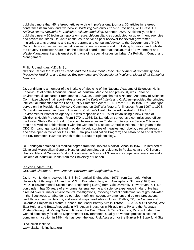published more than 45 refereed articles to date in professional journals, 30 articles in refereed conferences/seminars, and two books: *Modelling Vehicular Exhaust Emissions***,** WIT Press, UK; *Artificial Neural Networks in Vehicular Pollution Modelling*, Springer, USA. Additionally, he has published nearly 20 technical reports on research/consultancies conducted for government agencies and private industries. Dr Khare continues to serve as peer reviewer for several government ministries grants programs and state programs and consultant/advisor to the Government of NCR Delhi. He is also serving as casual reviewer to many journals and publishing houses in and outside the country. Professor Khare is on the editorial board of International Journal of Environment and Waste Management and is guest editing one of its special issues on Urban Air Pollution, Control and Management.

#### Philip J. Landrigan, M.D., M.Sc.

*Director, Center for Children's Health and the Environment, Chair, Department of Community and Preventive Medicine, and Director, Environmental and Occupational Medicine, Mount Sinai School of Medicine* 

Dr. Landrigan is a member of the Institute of Medicine of the National Academy of Sciences. He is Editor-in-Chief of the American Journal of Industrial Medicine and previously was Editor of Environmental Research. From 1988 to 1993, Dr. Landrigan chaired a National Academy of Sciences Committee whose final report—*Pesticides in the Diets of Infants and Children—*provided the principal intellectual foundation for the Food Quality Protection Act of 1996. From 1995 to 1997, Dr. Landrigan served on the Presidential Advisory Committee on Gulf War Veteran's Illnesses. From 1997 to 1998, Dr. Landrigan served as Senior Advisor on Children's Health to the Administrator of the U.S. Environmental Protection Agency. He was responsible at EPA for establishing a new Office of Children's Health Protection. From 1970 to 1985, Dr. Landrigan served as a commissioned officer in the United States Public Health Service. He served as an Epidemic Intelligence Service Officer and then as a Medical Epidemiologist with the Centers for Disease Control in Atlanta. In his years at the CDC, Dr. Landrigan participated in epidemiologic studies of measles and rubella; directed research and developed activities for the Global Smallpox Eradication Program; and established and directed the Environmental Hazards Branch of the Bureau of Epidemiology.

Dr. Landrigan obtained his medical degree from the Harvard Medical School in 1967. He interned at Cleveland Metropolitan General Hospital and completed a residency in Pediatrics at the Children's Hospital Medical Center in Boston. He obtained a Master of Science in occupational medicine and a Diploma of Industrial Health from the University of London.

#### Ian von Lindern Ph.D

*CEO and Chairman, Terra Graphics Environmental Engineering, Inc.*

Dr. Ian von Lindern received his B.S. in Chemical Engineering (1971) from Carnegie-Mellon University, Pittsburgh, PA; and his M.S. in Biometeorology and Atmospheric Studies (1973) and Ph.D. in Environmental Science and Engineering (1980) from Yale University, New Haven , CT. Dr. von Lindern has 30 years of environmental engineering and science experience in Idaho. He has directed over 30 major environmental investigations, involving solvent contamination of groundwater in the Southwest, an abandoned petroleum refinery, secondary smelters and battery processors, landfills, uranium mill tailings, and several major lead sites including: Dallas, TX; the Niagara and Riverdale Projects in Toronto, Canada; the Marjol Battery Site in Throop, PA; ASARCO/Tacoma, WA; East Helena and Butte/Anaconda in MT; Anzon Industries in Philadelphia, PA and the Rudnaya Pristan-Dalnegorsk Mining District, Russian Far East. Through TerraGraphics, Dr. von Lindern has worked continually for Idaho Department of Environmental Quality on various projects since the company's inception in 1984. He has been the lead Risk Assessor for the Bunker Hill Superfund Site

Blacksmith Institute www.blacksmithinstitute.org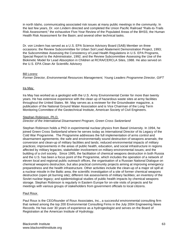in north Idaho, communicating associated risk issues at many public meetings in the community. In the last few years, Dr. von Lindern directed and completed the Union Pacific Railroad "Rails-to-Trails Risk Assessment;" the exhaustive Five-Year Review of the Populated Areas of the BHSS; the Human Health Risk Assessment for the Basin; and several other technical tasks.

Dr. von Lindern has served as a U.S. EPA Science Advisory Board (SAB) Member on three occasions: the Review Subcommittee for Urban Soil Lead Abatement Demonstration Project, 1993; the Subcommittee Assessing the Consistency of Lead Health Regulations in U.S. EPA Programs, Special Report to the Administrator, 1992; and the Review Subcommittee Assessing the Use of the Biokinetic Model for Lead Absorption in Children at RCRA/CERCLA Sites, 1988. He also served on the U.S. EPA Clean Air Scientific Advisory

#### Bill Lorenz

*Former Director, Environmental Resources Management, Young Leaders Programme Director, GIFT*

#### Ira May

Ira May has worked as a geologist with the U.S. Army Environmental Center for more than twenty years. He has extensive experience with the clean up of hazardous waste sites at army facilities throughout the United States. Mr. May serves as a reviewer for the Groundwater magazine, a publication of the National Ground Water Association and is Vice Chairman of the Long Term Monitoring Committee of the Geotechnical Institute, American Society of Civil Engineers.

#### Stephan Robinson, Ph.D.

*Director of the International Disarmament Program, Green Cross Switzerland* 

Stephan Robinson holds a PhD in experimental nuclear physics from Basel University. In 1994, he joined Green Cross Switzerland where he serves today as International Director of its Legacy of the Cold War Programme. The Programme addresses the full implementation of arms control and disarmament agreements; the safe and environmentally sound destruction of weapons arsenals; the conversion and clean-up of military facilities and lands; reduced environmental impacts of military practices; improvements in the areas of public health, education, and social infrastructure in regions affected by military legacies; stakeholder involvement on military-environmental issues; and the building of a civil society. Since 1995, the facilitation of chemical weapons destruction in both Russia and the U.S. has been a focus point of the Programme, which includes the operation of a network of eleven local and regional public outreach offices, the organisation of a Russian National Dialogue on chemical weapons destruction, but also practical community projects aiming at improving emergency preparedness and the health infrastructure. Other activities include the clean-up of a major oil spill at a nuclear missile in the Baltic area; the scientific investigation of a site of former chemical weapons destruction (open pit burning site); different risk assessments of military facilities; an inventory of the Soviet nuclear legacy; and epidemiological studies of public health impacts by chemical weapons storage. Stephan Robinson is regularly in Eastern Europe for on-site visits of projects and for meetings with various groups of stakeholders from government officials to local citizens.

#### Paul Roux

Paul Roux is the CEO/founder of Roux Associates, Inc., a successful environmental consulting firm that ranked among the top 200 Environmental Consulting Firms in the July 2004 Engineering News Records. He has over 30 years of experience as a hydrogeologist and serves on the Board of Registration at the American Institute of Hydrology.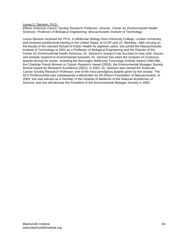Leona D. Samson, Ph.D.

*Ellison American Cancer Society Research Professor Director, Center for Environmental Health Sciences Professor of Biological Engineering, Massachusetts Institute of Technology* 

Leona Samson received her Ph.D. in Molecular Biology from University College, London University, and received postdoctoral training in the United States at UCSF and UC Berkeley. After serving on the faculty of the Harvard School of Public Health for eighteen years, she joined the Massachusetts Institute of Technology in 2001 as a Professor of Biological Engineering and the Director of the Center for Environmental Health Sciences. Dr. Samson's research has focused on how cells, tissues and animals respond to environmental toxicants. Dr. Samson has been the recipient of numerous awards during her career, including the Burroughs Wellcome Toxicology Scholar Award (1993-98); the Charlotte Friend Women in Cancer Research Award (2000); the Environmental Mutagen Society Annual Award for Research Excellence (2001). In 2001, Dr. Samson was named the American Cancer Society Research Professor, one of the most prestigious awards given by the society. The ACS Professorship was subsequently underwritten by the Ellison Foundation of Massachusetts. In 2003, she was elected as a member of the Institute of Medicine of the National Academies of Science, and she will become the President of the Environmental Mutagen Society in 2004.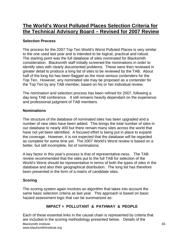# **The World's Worst Polluted Places Selection Criteria for the Technical Advisory Board – Revised for 2007 Review**

# **Selection Process**

The process for the 2007 Top Ten World's Worst Polluted Places is very similar to the one used last year and is intended to be logical, practical and robust. The starting point was the full database of sites nominated for Blacksmith consideration. Blacksmith staff initially screened the nominations in order to identify sites with clearly documented problems. These were then reviewed in greater detail to produce a long list of sites to be reviewed by the TAB. About half of the long list has been flagged as the most serious contenders for the Top Ten. However, any nominated site may be proposed as a contender for the Top Ten by any TAB member, based on his or her individual review.

The nomination and selection process has been refined for 2007, following a day-long TAB conference. It still remains heavily dependant on the experience and professional judgment of TAB members.

# **Nominations**

The structure of the database of nominated sites has been upgraded and a number of new sites have been added. This brings the total number of sites in our database to nearly 400 but there remain many sites across the world that have not yet been identified. A focused effort is being put in place to expand the coverage. However, it is not expected that the database will be regarded as complete for some time yet. The 2007 World's Worst review is based on a better, but still incomplete, list of nominations.

A key factor in this year's process is that of representative-ness. The TAB review recommended that the sites put to the full TAB for selection of the World's Worst should be representative in terms of both the types of sites in the database and also their geographical distribution. The long list has therefore been presented in the form of a matrix of candidate sites.

# **Scoring**

The scoring system again involves an algorithm that takes into account the same basic selection criteria as last year. This approach is based on basic hazard assessment logic that can be summarized as:

# **IMPACT = POLLUTANT & PATHWAY & PEOPLE**

Blacksmith Institute www.blacksmithinstitute.org Each of these essential links in the causal chain is represented by criteria that are included in the scoring methodology presented below. Details of the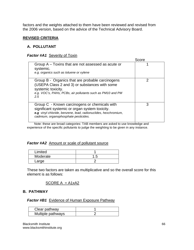factors and the weights attached to them have been reviewed and revised from the 2006 version, based on the advice of the Technical Advisory Board.

# **REVISED CRITERIA**

# **A. POLLUTANT**

# *Factor #A1* Severity of Toxin

|                                                                                                                                                                                                           | Score |
|-----------------------------------------------------------------------------------------------------------------------------------------------------------------------------------------------------------|-------|
| Group A – Toxins that are not assessed as acute or<br>systemic.<br>e.g. organics such as toluene or xylene                                                                                                |       |
| Group B - Organics that are probable carcinogens<br>(USEPA Class 2 and 3) or substances with some<br>systemic toxicity.<br>e.g. VOC's, PAHs, PCBs, air pollutants such as PM10 and PM<br>2.5              | າ     |
| Group C - Known carcinogens or chemicals with<br>significant systemic or organ system toxicity.<br>e.g vinyl chloride, benzene, lead, radionuclides, hexchromium,<br>cadmium, organophosphate pesticides. | 3     |

Note: these are broad categories: TAB members are asked to use knowledge and experience of the specific pollutants to judge the weighting to be given in any instance.

# **Factor #A2** Amount or scale of pollutant source

| Limited  |       |
|----------|-------|
| Moderate | . . 5 |
| .arge    |       |

These two factors are taken as multiplicative and so the overall score for this element is as follows:

# SCORE  $A = A1xA2$

# **B. PATHWAY**

### **Factor #B1** Evidence of Human Exposure Pathway

| Clear pathway     |  |
|-------------------|--|
| Multiple pathways |  |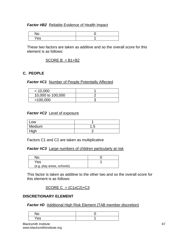# **Factor #B2** Reliable Evidence of Health Impact

| . .<br>◡ |  |
|----------|--|
| --<br>es |  |

These two factors are taken as additive and so the overall score for this element is as follows:

# $SCOREB = B1+B2$

# **C. PEOPLE**

### *Factor #C1* Number of People Potentially Affected

| < 10,000          |  |
|-------------------|--|
| 10,000 to 100,000 |  |
| >100,000          |  |

# *Factor #C2* Level of exposure

| .OW    |     |
|--------|-----|
| Medium | 1.5 |
| High   |     |

Factors C1 and C2 are taken as multiplicative

*Factor #C3* Large numbers of children particularly at risk

| Yes                        |  |
|----------------------------|--|
| (e.g. play areas, schools) |  |

This factor is taken as additive to the other two and so the overall score for this element is as follows:

# $SCOREC = (C1xC2)+C3$

# **DISCRETIONARY ELEMENT**

# **Factor #D** Additional High Risk Element (TAB member discretion)

| ∼       |  |
|---------|--|
| ဗဒ<br>- |  |

Blacksmith Institute www.blacksmithinstitute.org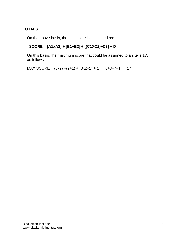# **TOTALS**

On the above basis, the total score is calculated as:

# **SCORE = [A1xA2] + [B1+B2] + [(C1XC2)+C3] + D**

On this basis, the maximum score that could be assigned to a site is 17, as follows:

 $MAX$  SCORE =  $(3x2) + (2+1) + (3x2+1) + 1 = 6+3+7+1 = 17$